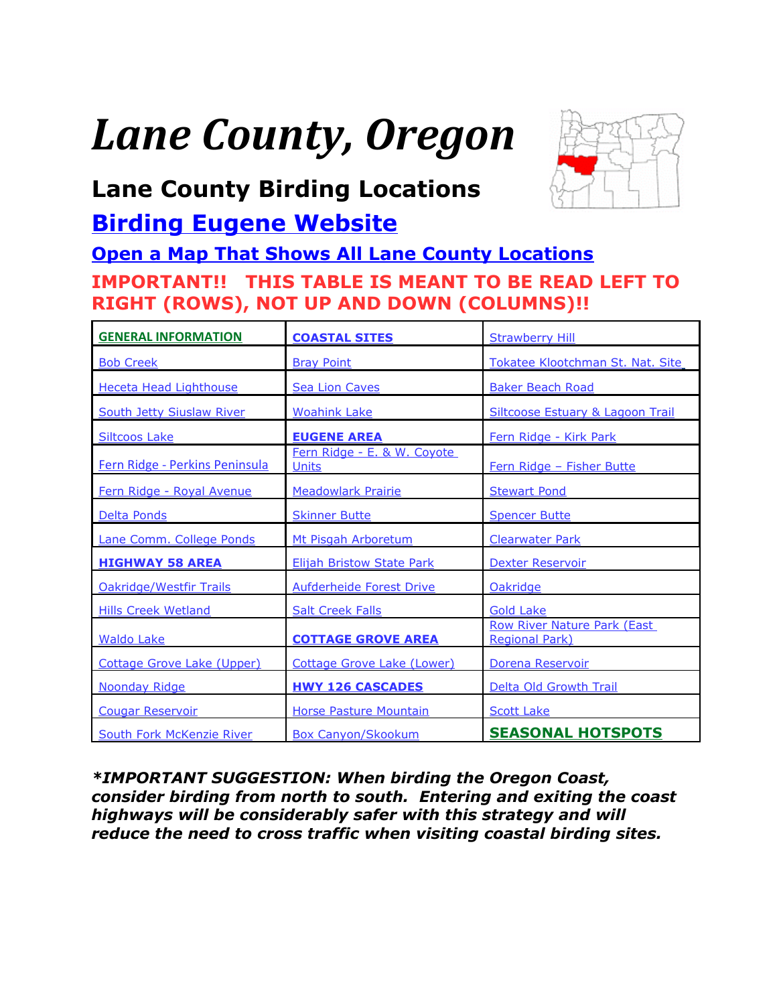# <span id="page-0-0"></span>*Lane County, Oregon*



## **Lane County Birding Locations**

### **[Birding Eugene Website](http://www.thefarleys.us/BirdingEugene/Welcome.html)**

#### **[Open a Map That Shows All Lane County Locations](https://www.google.com/maps/d/u/0/edit?hl=en&authuser=0&mid=zVl1oTDALjf4.kWzj-H1oTO50) IMPORTANT!! THIS TABLE IS MEANT TO BE READ LEFT TO RIGHT (ROWS), NOT UP AND DOWN (COLUMNS)!!**

| <b>GENERAL INFORMATION</b>       | <b>COASTAL SITES</b>                        | <b>Strawberry Hill</b>                                      |  |
|----------------------------------|---------------------------------------------|-------------------------------------------------------------|--|
| <b>Bob Creek</b>                 | <b>Bray Point</b>                           | Tokatee Klootchman St. Nat. Site                            |  |
| <b>Heceta Head Lighthouse</b>    | <b>Sea Lion Caves</b>                       | <b>Baker Beach Road</b>                                     |  |
| <b>South Jetty Siuslaw River</b> | <b>Woahink Lake</b>                         | <b>Siltcoose Estuary &amp; Lagoon Trail</b>                 |  |
| <b>Siltcoos Lake</b>             | <b>EUGENE AREA</b>                          | Fern Ridge - Kirk Park                                      |  |
| Fern Ridge - Perkins Peninsula   | Fern Ridge - E. & W. Coyote<br><b>Units</b> | Fern Ridge - Fisher Butte                                   |  |
| Fern Ridge - Royal Avenue        | <b>Meadowlark Prairie</b>                   | <b>Stewart Pond</b>                                         |  |
| Delta Ponds                      | <b>Skinner Butte</b>                        | <b>Spencer Butte</b>                                        |  |
| Lane Comm. College Ponds         | Mt Pisgah Arboretum                         | <b>Clearwater Park</b>                                      |  |
| <b>HIGHWAY 58 AREA</b>           | <b>Elijah Bristow State Park</b>            | <b>Dexter Reservoir</b>                                     |  |
| <b>Oakridge/Westfir Trails</b>   | Aufderheide Forest Drive                    | Oakridge                                                    |  |
| <b>Hills Creek Wetland</b>       | <b>Salt Creek Falls</b>                     | <b>Gold Lake</b>                                            |  |
| <b>Waldo Lake</b>                | <b>COTTAGE GROVE AREA</b>                   | <b>Row River Nature Park (East</b><br><b>Regional Park)</b> |  |
| Cottage Grove Lake (Upper)       | Cottage Grove Lake (Lower)                  | Dorena Reservoir                                            |  |
| <b>Noonday Ridge</b>             | <b>HWY 126 CASCADES</b>                     | Delta Old Growth Trail                                      |  |
| <b>Cougar Reservoir</b>          | Horse Pasture Mountain                      | <b>Scott Lake</b>                                           |  |
| South Fork McKenzie River        | <b>Box Canyon/Skookum</b>                   | <b>SEASONAL HOTSPOTS</b>                                    |  |

*\*IMPORTANT SUGGESTION: When birding the Oregon Coast, consider birding from north to south. Entering and exiting the coast highways will be considerably safer with this strategy and will reduce the need to cross traffic when visiting coastal birding sites.*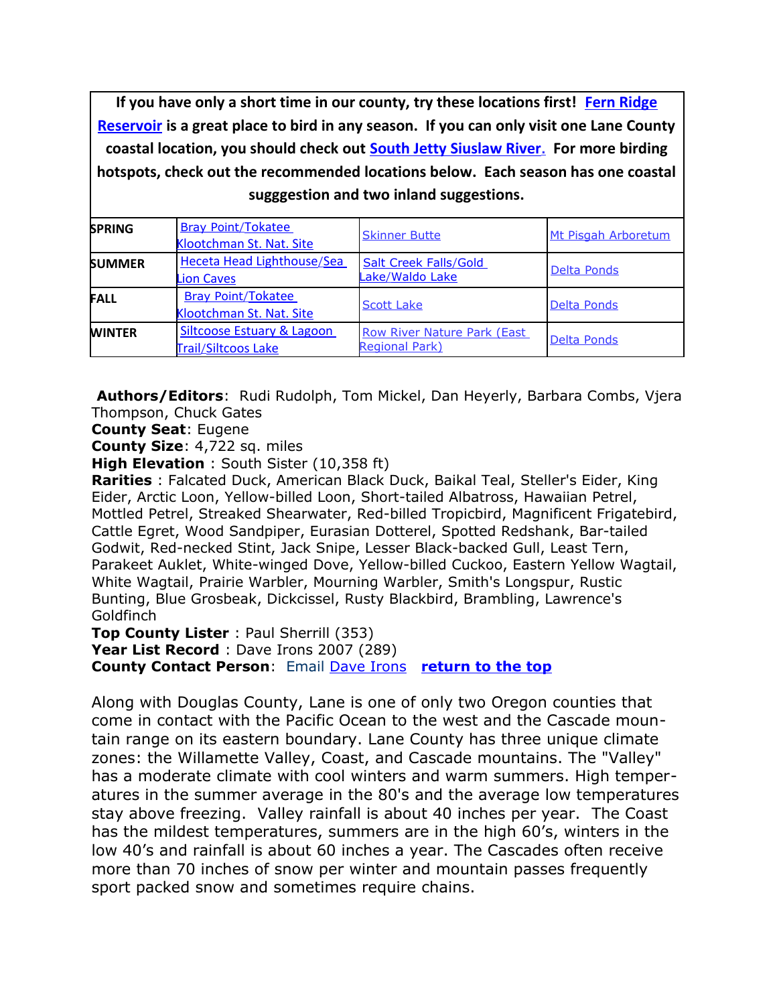<span id="page-1-0"></span>**If you have only a short time in our county, try these locations first! [Fern Ridge](#page-7-0) [Reservoir](#page-7-0) is a great place to bird in any season. If you can only visit one Lane County coastal location, you should check out [South Jetty Siuslaw River](#page-5-0). For more birding hotspots, check out the recommended locations below. Each season has one coastal sugggestion and two inland suggestions.**

| <b>SPRING</b> | <b>Bray Point/Tokatee</b><br>Klootchman St. Nat. Site        | <b>Skinner Butte</b>                                        | Mt Pisgah Arboretum |
|---------------|--------------------------------------------------------------|-------------------------------------------------------------|---------------------|
| <b>SUMMER</b> | Heceta Head Lighthouse/Sea<br><b>Lion Caves</b>              | <b>Salt Creek Falls/Gold</b><br>Lake/Waldo Lake             | Delta Ponds         |
| <b>FALL</b>   | <b>Bray Point/Tokatee</b><br>Klootchman St. Nat. Site        | <b>Scott Lake</b>                                           | <b>Delta Ponds</b>  |
| <b>WINTER</b> | <b>Siltcoose Estuary &amp; Lagoon</b><br>Trail/Siltcoos Lake | <b>Row River Nature Park (East</b><br><b>Regional Park)</b> | <b>Delta Ponds</b>  |

<span id="page-1-1"></span>**Authors/Editors**: Rudi Rudolph, Tom Mickel, Dan Heyerly, Barbara Combs, Vjera Thompson, Chuck Gates

**County Seat**: Eugene

**County Size**: 4,722 sq. miles

**High Elevation** : South Sister (10,358 ft)

**Rarities** : Falcated Duck, American Black Duck, Baikal Teal, Steller's Eider, King Eider, Arctic Loon, Yellow-billed Loon, Short-tailed Albatross, Hawaiian Petrel, Mottled Petrel, Streaked Shearwater, Red-billed Tropicbird, Magnificent Frigatebird, Cattle Egret, Wood Sandpiper, Eurasian Dotterel, Spotted Redshank, Bar-tailed Godwit, Red-necked Stint, Jack Snipe, Lesser Black-backed Gull, Least Tern, Parakeet Auklet, White-winged Dove, Yellow-billed Cuckoo, Eastern Yellow Wagtail, White Wagtail, Prairie Warbler, Mourning Warbler, Smith's Longspur, Rustic Bunting, Blue Grosbeak, Dickcissel, Rusty Blackbird, Brambling, Lawrence's Goldfinch

**Top County Lister** : Paul Sherrill (353)

Year List Record : Dave Irons 2007 (289)

**County Contact Person**: Email [Dave Irons](mailto:llsdirons@msn.com) **[return to the top](#page-0-0)**

Along with Douglas County, Lane is one of only two Oregon counties that come in contact with the Pacific Ocean to the west and the Cascade mountain range on its eastern boundary. Lane County has three unique climate zones: the Willamette Valley, Coast, and Cascade mountains. The "Valley" has a moderate climate with cool winters and warm summers. High temperatures in the summer average in the 80's and the average low temperatures stay above freezing. Valley rainfall is about 40 inches per year. The Coast has the mildest temperatures, summers are in the high 60's, winters in the low 40's and rainfall is about 60 inches a year. The Cascades often receive more than 70 inches of snow per winter and mountain passes frequently sport packed snow and sometimes require chains.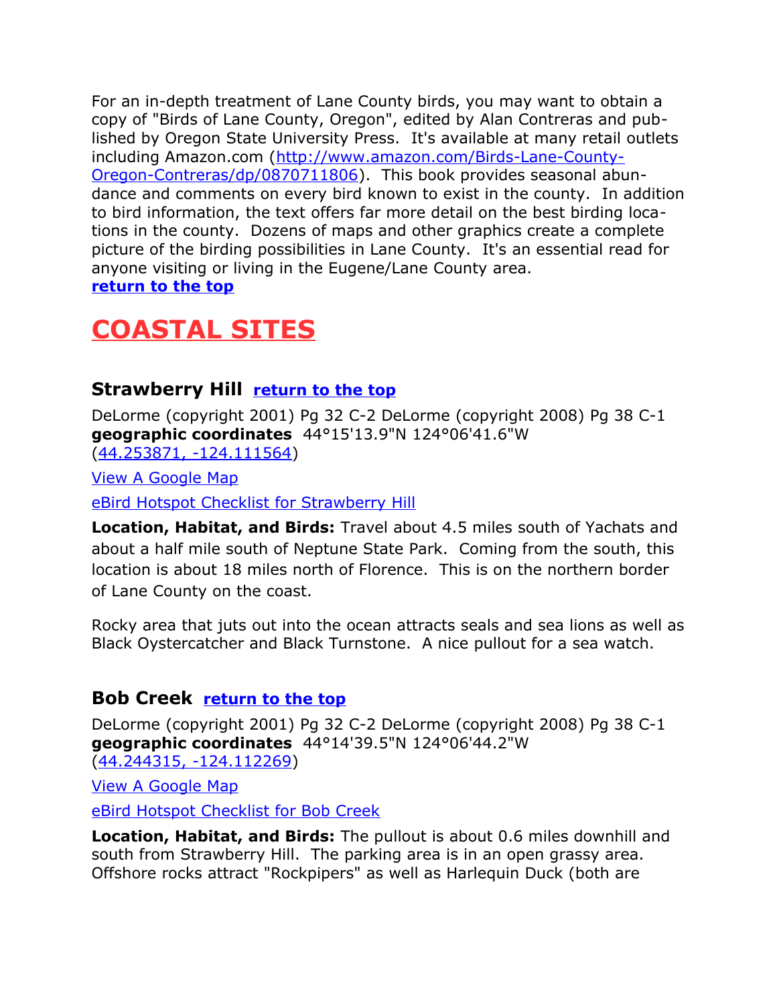For an in-depth treatment of Lane County birds, you may want to obtain a copy of "Birds of Lane County, Oregon", edited by Alan Contreras and published by Oregon State University Press. It's available at many retail outlets including Amazon.com [\(http://www.amazon.com/Birds-Lane-County-](http://www.amazon.com/Birds-Lane-County-Oregon-Contreras/dp/0870711806)[Oregon-Contreras/dp/0870711806\)](http://www.amazon.com/Birds-Lane-County-Oregon-Contreras/dp/0870711806). This book provides seasonal abundance and comments on every bird known to exist in the county. In addition to bird information, the text offers far more detail on the best birding locations in the county. Dozens of maps and other graphics create a complete picture of the birding possibilities in Lane County. It's an essential read for anyone visiting or living in the Eugene/Lane County area. **[return to the top](#page-0-0)**

## <span id="page-2-2"></span>**COASTAL SITES**

#### <span id="page-2-1"></span>**Strawberry Hill [return to the top](#page-0-0)**

DeLorme (copyright 2001) Pg 32 C-2 DeLorme (copyright 2008) Pg 38 C-1 **geographic coordinates** 44°15'13.9"N 124°06'41.6"W [\(44.253871, -124.111564\)](https://www.google.com/maps/place/44%C2%B015)

[View A Google Map](http://maps.google.com/maps/ms?hl=en&ie=UTF8&msa=0&ll=44.254052,-124.112206&spn=0.197216,0.528374&z=12&msid=108036481085398338899.000482957193febae0373)

[eBird Hotspot Checklist for Strawberry Hill](http://ebird.org/ebird/hotspot/L743257)

**Location, Habitat, and Birds:** Travel about 4.5 miles south of Yachats and about a half mile south of Neptune State Park. Coming from the south, this location is about 18 miles north of Florence. This is on the northern border of Lane County on the coast.

Rocky area that juts out into the ocean attracts seals and sea lions as well as Black Oystercatcher and Black Turnstone. A nice pullout for a sea watch.

#### <span id="page-2-0"></span>**Bob Creek [return to the top](#page-0-0)**

DeLorme (copyright 2001) Pg 32 C-2 DeLorme (copyright 2008) Pg 38 C-1 **geographic coordinates** 44°14'39.5"N 124°06'44.2"W [\(44.244315, -124.112269\)](https://www.google.com/maps/place/44%C2%B014)

[View A Google Map](http://maps.google.com/maps/ms?hl=en&ie=UTF8&msa=0&ll=44.254052,-124.112206&spn=0.197216,0.528374&z=12&msid=108036481085398338899.000482957193febae0373)

[eBird Hotspot Checklist for Bob Creek](http://ebird.org/ebird/hotspot/L743267)

**Location, Habitat, and Birds:** The pullout is about 0.6 miles downhill and south from Strawberry Hill. The parking area is in an open grassy area. Offshore rocks attract "Rockpipers" as well as Harlequin Duck (both are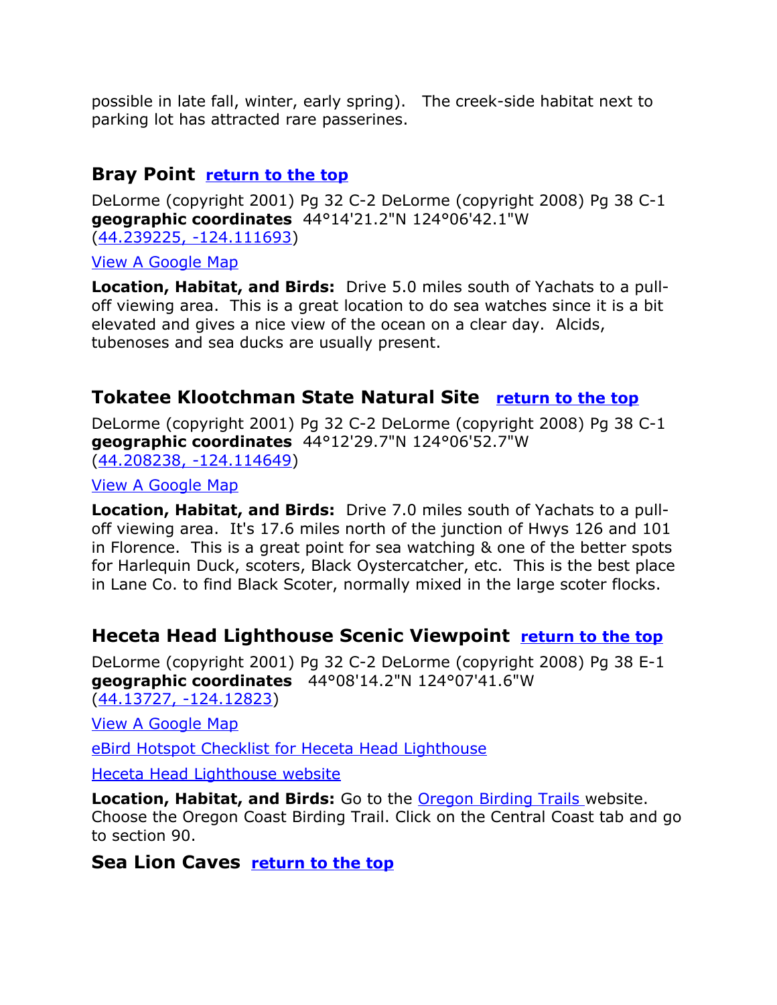possible in late fall, winter, early spring). The creek-side habitat next to parking lot has attracted rare passerines.

#### <span id="page-3-3"></span>**Bray Point [return to the top](#page-0-0)**

DeLorme (copyright 2001) Pg 32 C-2 DeLorme (copyright 2008) Pg 38 C-1 **geographic coordinates** 44°14'21.2"N 124°06'42.1"W [\(44.239225, -124.111693\)](https://www.google.com/maps/place/44%C2%B014)

[View A Google Map](http://maps.google.com/maps/ms?hl=en&ie=UTF8&msa=0&ll=44.254052,-124.112206&spn=0.197216,0.528374&z=12&msid=108036481085398338899.000482957193febae0373)

**Location, Habitat, and Birds:** Drive 5.0 miles south of Yachats to a pulloff viewing area. This is a great location to do sea watches since it is a bit elevated and gives a nice view of the ocean on a clear day. Alcids, tubenoses and sea ducks are usually present.

#### <span id="page-3-2"></span>**Tokatee Klootchman State Natural Site [return to the top](#page-0-0)**

DeLorme (copyright 2001) Pg 32 C-2 DeLorme (copyright 2008) Pg 38 C-1 **geographic coordinates** 44°12'29.7"N 124°06'52.7"W [\(44.208238, -124.114649\)](https://www.google.com/maps/place/44%C2%B012)

[View A Google Map](http://maps.google.com/maps/ms?hl=en&ie=UTF8&msa=0&ll=44.254052,-124.112206&spn=0.197216,0.528374&z=12&msid=108036481085398338899.000482957193febae0373)

**Location, Habitat, and Birds:** Drive 7.0 miles south of Yachats to a pulloff viewing area. It's 17.6 miles north of the junction of Hwys 126 and 101 in Florence. This is a great point for sea watching & one of the better spots for Harlequin Duck, scoters, Black Oystercatcher, etc. This is the best place in Lane Co. to find Black Scoter, normally mixed in the large scoter flocks.

#### <span id="page-3-1"></span>**Heceta Head Lighthouse Scenic Viewpoint [return to the top](#page-0-0)**

DeLorme (copyright 2001) Pg 32 C-2 DeLorme (copyright 2008) Pg 38 E-1 **geographic coordinates** 44°08'14.2"N 124°07'41.6"W [\(44.13727, -124.12823\)](https://www.google.com/maps/place/44%C2%B008)

[View A Google Map](http://maps.google.com/maps/ms?hl=en&ie=UTF8&msa=0&msid=108036481085398338899.00046b7af04bc66c728a6&ll=44.013559,-124.07547&spn=0.848373,2.108002&z=10)

[eBird Hotspot Checklist for Heceta Head Lighthouse](http://ebird.org/ebird/hotspot/L295630)

[Heceta Head Lighthouse website](http://hecetalighthouse.com/)

**Location, Habitat, and Birds:** Go to the [Oregon Birding Trails w](http://www.oregonbirdingtrails.org/)ebsite. Choose the Oregon Coast Birding Trail. Click on the Central Coast tab and go to section 90.

#### <span id="page-3-0"></span>**Sea Lion Caves [return to the top](#page-0-0)**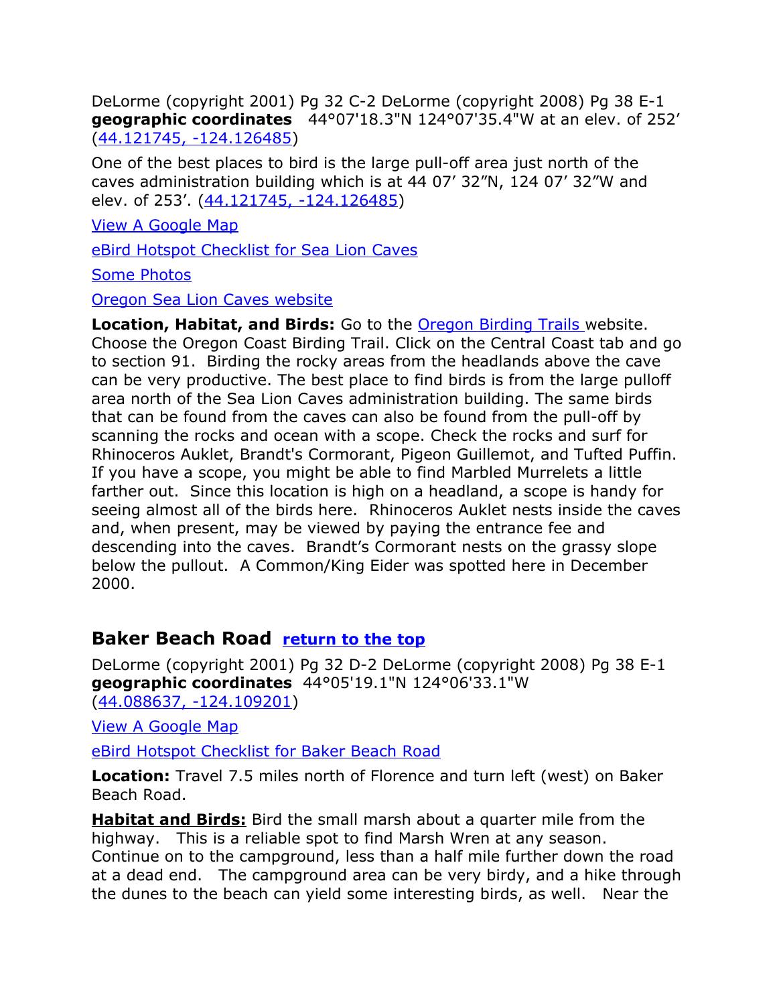DeLorme (copyright 2001) Pg 32 C-2 DeLorme (copyright 2008) Pg 38 E-1 **geographic coordinates** 44°07'18.3"N 124°07'35.4"W at an elev. of 252' [\(44.121745, -124.126485\)](https://www.google.com/maps/place/44%C2%B007)

One of the best places to bird is the large pull-off area just north of the caves administration building which is at 44 07' 32"N, 124 07' 32"W and elev. of 253'. [\(44.121745, -124.126485\)](https://www.google.com/maps/place/44%C2%B007)

[View A Google Map](http://maps.google.com/maps/ms?hl=en&ie=UTF8&msa=0&msid=108036481085398338899.00046b7af04bc66c728a6&ll=44.013559,-124.07547&spn=0.848373,2.108002&z=10)

[eBird Hotspot Checklist for Sea Lion Caves](http://ebird.org/ebird/hotspot/L744276)

[Some Photos](http://www.paulnoll.com/Oregon/Tourism/Coast-Florence-Bandon/Noll-Sea-Lion-Caves-choices.html)

#### [Oregon Sea Lion Caves website](http://www.sealioncaves.com/)

**Location, Habitat, and Birds:** Go to the [Oregon Birding Trails w](http://www.oregonbirdingtrails.org/)ebsite. Choose the Oregon Coast Birding Trail. Click on the Central Coast tab and go to section 91. Birding the rocky areas from the headlands above the cave can be very productive. The best place to find birds is from the large pulloff area north of the Sea Lion Caves administration building. The same birds that can be found from the caves can also be found from the pull-off by scanning the rocks and ocean with a scope. Check the rocks and surf for Rhinoceros Auklet, Brandt's Cormorant, Pigeon Guillemot, and Tufted Puffin. If you have a scope, you might be able to find Marbled Murrelets a little farther out. Since this location is high on a headland, a scope is handy for seeing almost all of the birds here. Rhinoceros Auklet nests inside the caves and, when present, may be viewed by paying the entrance fee and descending into the caves. Brandt's Cormorant nests on the grassy slope below the pullout. A Common/King Eider was spotted here in December 2000.

#### <span id="page-4-0"></span>**Baker Beach Road [return to the top](#page-0-0)**

DeLorme (copyright 2001) Pg 32 D-2 DeLorme (copyright 2008) Pg 38 E-1 **geographic coordinates** 44°05'19.1"N 124°06'33.1"W [\(44.088637, -124.109201\)](https://www.google.com/maps/place/44%C2%B005)

[View A Google Map](http://maps.google.com/maps/ms?hl=en&ie=UTF8&msa=0&msid=108036481085398338899.00046b7af04bc66c728a6&ll=44.013559,-124.07547&spn=0.848373,2.108002&z=10)

[eBird Hotspot Checklist for Baker Beach Road](http://ebird.org/ebird/hotspot/L742935)

**Location:** Travel 7.5 miles north of Florence and turn left (west) on Baker Beach Road.

**Habitat and Birds:** Bird the small marsh about a quarter mile from the highway. This is a reliable spot to find Marsh Wren at any season. Continue on to the campground, less than a half mile further down the road at a dead end. The campground area can be very birdy, and a hike through the dunes to the beach can yield some interesting birds, as well. Near the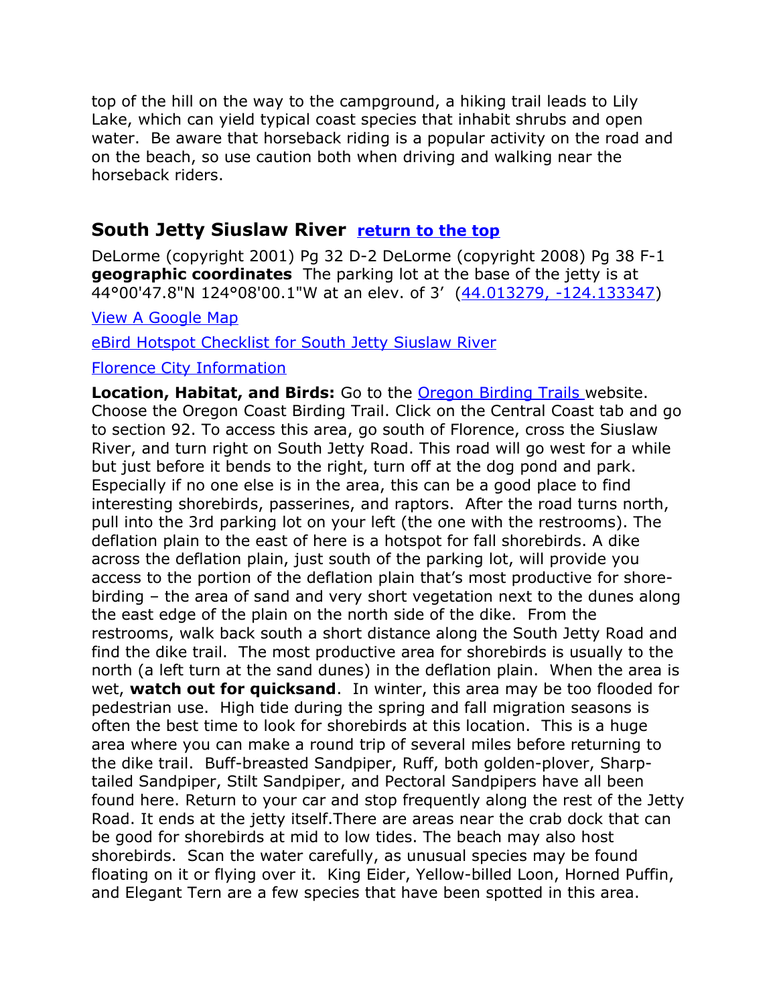top of the hill on the way to the campground, a hiking trail leads to Lily Lake, which can yield typical coast species that inhabit shrubs and open water. Be aware that horseback riding is a popular activity on the road and on the beach, so use caution both when driving and walking near the horseback riders.

#### <span id="page-5-0"></span>**South Jetty Siuslaw River [return to the top](#page-0-0)**

DeLorme (copyright 2001) Pg 32 D-2 DeLorme (copyright 2008) Pg 38 F-1 **geographic coordinates** The parking lot at the base of the jetty is at 44°00'47.8"N 124°08'00.1"W at an elev. of 3' [\(44.013279, -124.133347\)](https://www.google.com/maps/place/44%C2%B000)

[View A Google Map](http://maps.google.com/maps/ms?hl=en&ie=UTF8&msa=0&msid=108036481085398338899.00046b7af04bc66c728a6&ll=44.013559,-124.07547&spn=0.848373,2.108002&z=10)

[eBird Hotspot Checklist for South Jetty Siuslaw River](http://ebird.org/ebird/hotspot/L742878)

#### [Florence City Information](http://www.citytowninfo.com/places/oregon/florence)

**Location, Habitat, and Birds:** Go to the [Oregon Birding Trails w](http://www.oregonbirdingtrails.org/)ebsite. Choose the Oregon Coast Birding Trail. Click on the Central Coast tab and go to section 92. To access this area, go south of Florence, cross the Siuslaw River, and turn right on South Jetty Road. This road will go west for a while but just before it bends to the right, turn off at the dog pond and park. Especially if no one else is in the area, this can be a good place to find interesting shorebirds, passerines, and raptors. After the road turns north, pull into the 3rd parking lot on your left (the one with the restrooms). The deflation plain to the east of here is a hotspot for fall shorebirds. A dike across the deflation plain, just south of the parking lot, will provide you access to the portion of the deflation plain that's most productive for shorebirding – the area of sand and very short vegetation next to the dunes along the east edge of the plain on the north side of the dike. From the restrooms, walk back south a short distance along the South Jetty Road and find the dike trail. The most productive area for shorebirds is usually to the north (a left turn at the sand dunes) in the deflation plain. When the area is wet, **watch out for quicksand**. In winter, this area may be too flooded for pedestrian use. High tide during the spring and fall migration seasons is often the best time to look for shorebirds at this location. This is a huge area where you can make a round trip of several miles before returning to the dike trail. Buff-breasted Sandpiper, Ruff, both golden-plover, Sharptailed Sandpiper, Stilt Sandpiper, and Pectoral Sandpipers have all been found here. Return to your car and stop frequently along the rest of the Jetty Road. It ends at the jetty itself.There are areas near the crab dock that can be good for shorebirds at mid to low tides. The beach may also host shorebirds. Scan the water carefully, as unusual species may be found floating on it or flying over it. King Eider, Yellow-billed Loon, Horned Puffin, and Elegant Tern are a few species that have been spotted in this area.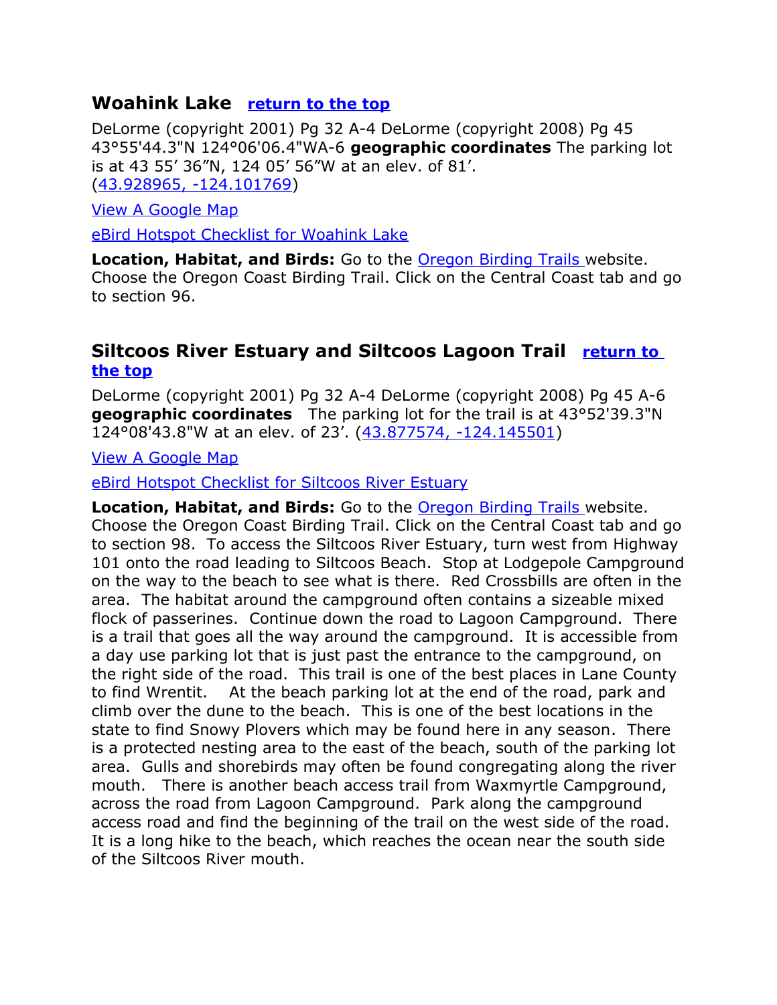#### <span id="page-6-1"></span>**Woahink Lake [return to the top](#page-0-0)**

DeLorme (copyright 2001) Pg 32 A-4 DeLorme (copyright 2008) Pg 45 43°55'44.3"N 124°06'06.4"WA-6 **geographic coordinates** The parking lot is at 43 55' 36"N, 124 05' 56"W at an elev. of 81'. [\(43.928965, -124.101769\)](https://www.google.com/maps/place/43%C2%B055)

[View A Google Map](http://maps.google.com/maps/ms?hl=en&ie=UTF8&msa=0&msid=108036481085398338899.00046b7af04bc66c728a6&ll=44.013559,-124.07547&spn=0.848373,2.108002&z=10)

[eBird Hotspot Checklist for Woahink Lake](http://ebird.org/ebird/hotspot/L1076489)

**Location, Habitat, and Birds:** Go to the [Oregon Birding Trails w](http://www.oregonbirdingtrails.org/)ebsite. Choose the Oregon Coast Birding Trail. Click on the Central Coast tab and go to section 96.

#### <span id="page-6-0"></span>**Siltcoos River Estuary and Siltcoos Lagoon Trail [return to](#page-0-0)  [the top](#page-0-0)**

DeLorme (copyright 2001) Pg 32 A-4 DeLorme (copyright 2008) Pg 45 A-6 **geographic coordinates** The parking lot for the trail is at 43°52'39.3"N 124°08'43.8"W at an elev. of 23'. [\(43.877574, -124.145501\)](https://www.google.com/maps/place/43%C2%B052)

[View A Google Map](http://maps.google.com/maps/ms?hl=en&ie=UTF8&msa=0&msid=108036481085398338899.00046b7af04bc66c728a6&ll=44.013559,-124.07547&spn=0.848373,2.108002&z=10)

[eBird Hotspot Checklist for Siltcoos River Estuary](http://ebird.org/ebird/hotspot/L159600)

**Location, Habitat, and Birds:** Go to the [Oregon Birding Trails w](http://www.oregonbirdingtrails.org/)ebsite. Choose the Oregon Coast Birding Trail. Click on the Central Coast tab and go to section 98. To access the Siltcoos River Estuary, turn west from Highway 101 onto the road leading to Siltcoos Beach. Stop at Lodgepole Campground on the way to the beach to see what is there. Red Crossbills are often in the area. The habitat around the campground often contains a sizeable mixed flock of passerines. Continue down the road to Lagoon Campground. There is a trail that goes all the way around the campground. It is accessible from a day use parking lot that is just past the entrance to the campground, on the right side of the road. This trail is one of the best places in Lane County to find Wrentit. At the beach parking lot at the end of the road, park and climb over the dune to the beach. This is one of the best locations in the state to find Snowy Plovers which may be found here in any season. There is a protected nesting area to the east of the beach, south of the parking lot area. Gulls and shorebirds may often be found congregating along the river mouth. There is another beach access trail from Waxmyrtle Campground, across the road from Lagoon Campground. Park along the campground access road and find the beginning of the trail on the west side of the road. It is a long hike to the beach, which reaches the ocean near the south side of the Siltcoos River mouth.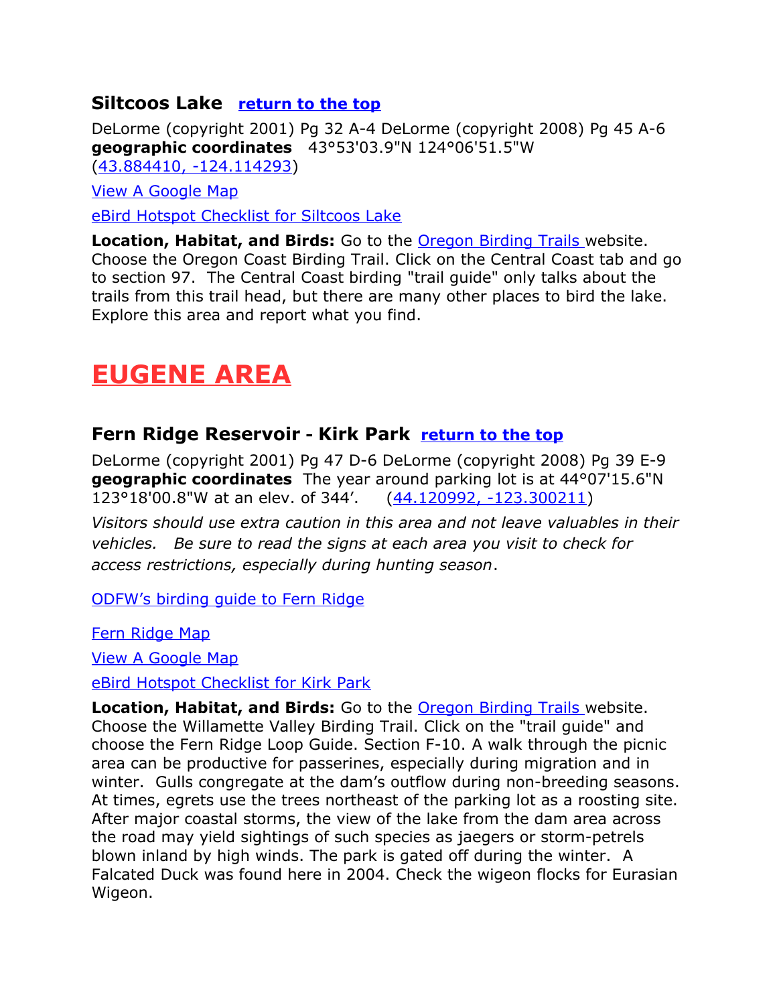#### <span id="page-7-2"></span>**Siltcoos Lake [return to the top](#page-0-0)**

DeLorme (copyright 2001) Pg 32 A-4 DeLorme (copyright 2008) Pg 45 A-6 **geographic coordinates** 43°53'03.9"N 124°06'51.5"W [\(43.884410, -124.114293\)](https://www.google.com/maps/place/43%C2%B053)

[View A Google Map](http://maps.google.com/maps/ms?hl=en&ie=UTF8&msa=0&msid=108036481085398338899.00046b7af04bc66c728a6&ll=44.013559,-124.07547&spn=0.848373,2.108002&z=10)

[eBird Hotspot Checklist for Siltcoos Lake](http://ebird.org/ebird/hotspot/L776390)

**Location, Habitat, and Birds:** Go to the [Oregon Birding Trails w](http://www.oregonbirdingtrails.org/)ebsite. Choose the Oregon Coast Birding Trail. Click on the Central Coast tab and go to section 97. The Central Coast birding "trail guide" only talks about the trails from this trail head, but there are many other places to bird the lake. Explore this area and report what you find.

## <span id="page-7-1"></span>**EUGENE AREA**

#### <span id="page-7-0"></span>**Fern Ridge Reservoir - Kirk Park [return to the top](#page-0-0)**

DeLorme (copyright 2001) Pg 47 D-6 DeLorme (copyright 2008) Pg 39 E-9 **geographic coordinates** The year around parking lot is at 44°07'15.6"N 123°18'00.8"W at an elev. of 344'. [\(44.120992, -123.300211\)](https://www.google.com/maps/place/44%C2%B007)

*Visitors should use extra caution in this area and not leave valuables in their vehicles. Be sure to read the signs at each area you visit to check for access restrictions, especially during hunting season*.

[ODFW's birding guide to Fern Ridge](http://www.dfw.state.or.us/resources/visitors/fern_ridge_wildlife_area/bird_watching.asp)

[Fern Ridge Map](https://drive.google.com/file/d/0B3QvY3NIsjaeelBfZFJmdlQ1X0E/view?usp=sharing)

[View A Google Map](http://maps.google.com/maps/ms?hl=en&ie=UTF8&msa=0&ll=44.11717,-123.180256&spn=0.386968,1.055374&z=11&msid=108036481085398338899.00046d5ecdfdd9906b83a)

[eBird Hotspot Checklist for Kirk Park](http://ebird.org/ebird/hotspot/L742886)

**Location, Habitat, and Birds:** Go to the [Oregon Birding Trails w](http://www.oregonbirdingtrails.org/)ebsite. Choose the Willamette Valley Birding Trail. Click on the "trail guide" and choose the Fern Ridge Loop Guide. Section F-10. A walk through the picnic area can be productive for passerines, especially during migration and in winter. Gulls congregate at the dam's outflow during non-breeding seasons. At times, egrets use the trees northeast of the parking lot as a roosting site. After major coastal storms, the view of the lake from the dam area across the road may yield sightings of such species as jaegers or storm-petrels blown inland by high winds. The park is gated off during the winter. A Falcated Duck was found here in 2004. Check the wigeon flocks for Eurasian Wigeon.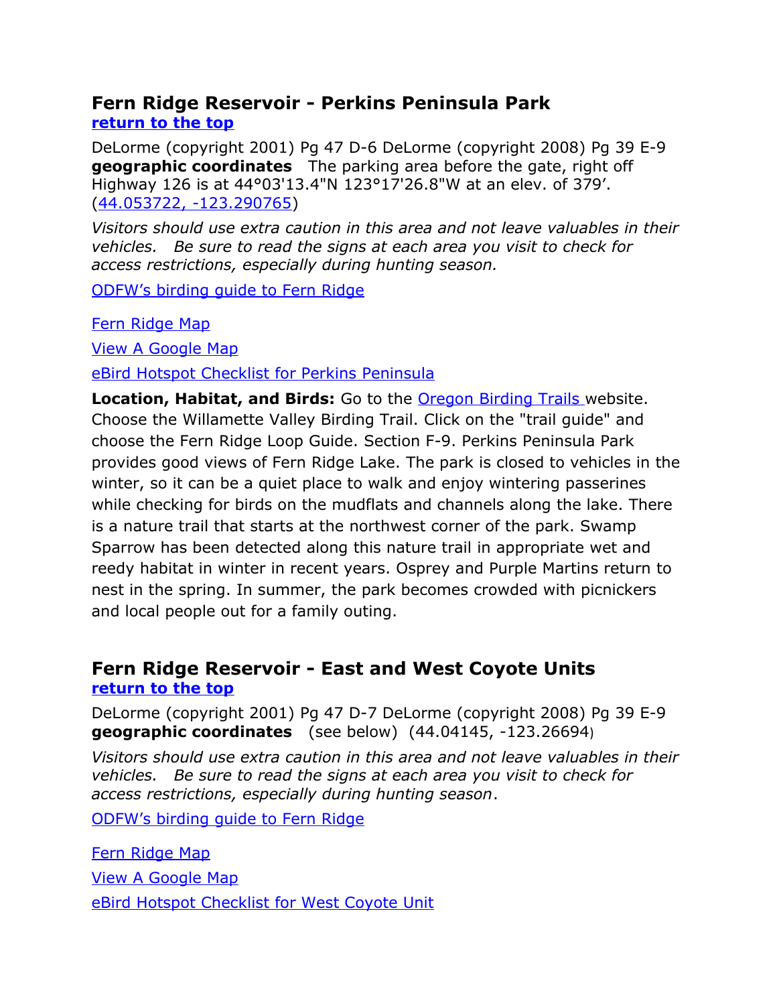#### <span id="page-8-1"></span>**Fern Ridge Reservoir - Perkins Peninsula Park [return to the top](#page-0-0)**

DeLorme (copyright 2001) Pg 47 D-6 DeLorme (copyright 2008) Pg 39 E-9 **geographic coordinates** The parking area before the gate, right off Highway 126 is at 44°03'13.4"N 123°17'26.8"W at an elev. of 379'. [\(44.053722, -123.290765\)](https://www.google.com/maps/place/44%C2%B003)

*Visitors should use extra caution in this area and not leave valuables in their vehicles. Be sure to read the signs at each area you visit to check for access restrictions, especially during hunting season.*

[ODFW's birding guide to Fern Ridge](http://www.dfw.state.or.us/resources/visitors/fern_ridge_wildlife_area/bird_watching.asp)

[Fern Ridge Map](https://drive.google.com/file/d/0B3QvY3NIsjaeelBfZFJmdlQ1X0E/view?usp=sharing)

[View A Google Map](http://maps.google.com/maps/ms?hl=en&ie=UTF8&msa=0&ll=44.11717,-123.180256&spn=0.386968,1.055374&z=11&msid=108036481085398338899.00046d5ecdfdd9906b83a)

[eBird Hotspot Checklist for Perkins Peninsula](http://ebird.org/ebird/hotspot/L742874)

**Location, Habitat, and Birds:** Go to the **Oregon Birding Trails** website. Choose the Willamette Valley Birding Trail. Click on the "trail guide" and choose the Fern Ridge Loop Guide. Section F-9. Perkins Peninsula Park provides good views of Fern Ridge Lake. The park is closed to vehicles in the winter, so it can be a quiet place to walk and enjoy wintering passerines while checking for birds on the mudflats and channels along the lake. There is a nature trail that starts at the northwest corner of the park. Swamp Sparrow has been detected along this nature trail in appropriate wet and reedy habitat in winter in recent years. Osprey and Purple Martins return to nest in the spring. In summer, the park becomes crowded with picnickers and local people out for a family outing.

#### <span id="page-8-0"></span>**Fern Ridge Reservoir - East and West Coyote Units [return to the top](#page-0-0)**

DeLorme (copyright 2001) Pg 47 D-7 DeLorme (copyright 2008) Pg 39 E-9 **geographic coordinates** (see below) (44.04145, -123.26694)

*Visitors should use extra caution in this area and not leave valuables in their vehicles. Be sure to read the signs at each area you visit to check for access restrictions, especially during hunting season*.

[ODFW's birding guide to Fern Ridge](http://www.dfw.state.or.us/resources/visitors/fern_ridge_wildlife_area/bird_watching.asp)

[Fern Ridge Map](https://drive.google.com/file/d/0B3QvY3NIsjaeelBfZFJmdlQ1X0E/view?usp=sharing)

[View A Google Map](http://maps.google.com/maps/ms?hl=en&ie=UTF8&msa=0&ll=44.11717,-123.180256&spn=0.386968,1.055374&z=11&msid=108036481085398338899.00046d5ecdfdd9906b83a)

[eBird Hotspot Checklist for West Coyote Unit](http://ebird.org/ebird/hotspot/L742971)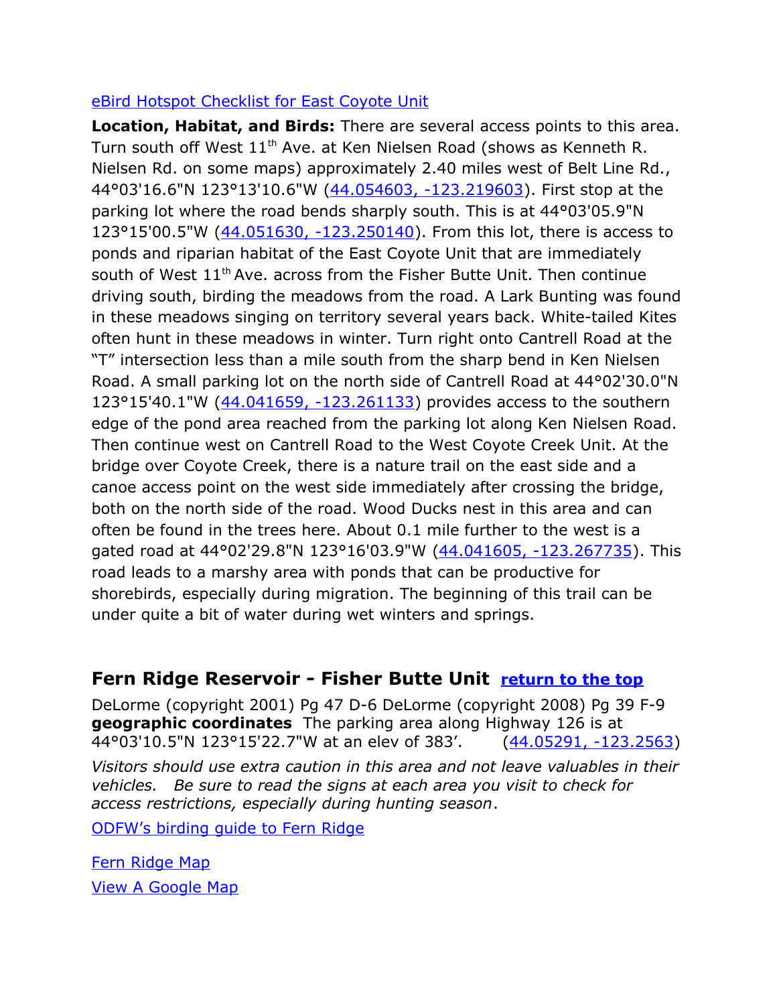#### [eBird Hotspot Checklist for East Coyote Unit](http://ebird.org/ebird/hotspot/L716982)

**Location, Habitat, and Birds:** There are several access points to this area. Turn south off West 11<sup>th</sup> Ave. at Ken Nielsen Road (shows as Kenneth R. Nielsen Rd. on some maps) approximately 2.40 miles west of Belt Line Rd., 44°03'16.6"N 123°13'10.6"W [\(44.054603, -123.219603\)](https://www.google.com/maps/place/44%C2%B003). First stop at the parking lot where the road bends sharply south. This is at 44°03'05.9"N 123°15'00.5"W [\(44.051630, -123.250140\)](https://www.google.com/maps/place/44%C2%B003). From this lot, there is access to ponds and riparian habitat of the East Coyote Unit that are immediately south of West 11<sup>th</sup> Ave. across from the Fisher Butte Unit. Then continue driving south, birding the meadows from the road. A Lark Bunting was found in these meadows singing on territory several years back. White-tailed Kites often hunt in these meadows in winter. Turn right onto Cantrell Road at the "T" intersection less than a mile south from the sharp bend in Ken Nielsen Road. A small parking lot on the north side of Cantrell Road at 44°02'30.0"N 123°15'40.1"W [\(44.041659, -123.261133\)](https://www.google.com/maps/place/44%C2%B002) provides access to the southern edge of the pond area reached from the parking lot along Ken Nielsen Road. Then continue west on Cantrell Road to the West Coyote Creek Unit. At the bridge over Coyote Creek, there is a nature trail on the east side and a canoe access point on the west side immediately after crossing the bridge, both on the north side of the road. Wood Ducks nest in this area and can often be found in the trees here. About 0.1 mile further to the west is a gated road at 44°02'29.8"N 123°16'03.9"W [\(44.041605, -123.267735\)](https://www.google.com/maps/place/44%C2%B002). This road leads to a marshy area with ponds that can be productive for shorebirds, especially during migration. The beginning of this trail can be under quite a bit of water during wet winters and springs.

#### <span id="page-9-0"></span>**Fern Ridge Reservoir - Fisher Butte Unit [return to the top](#page-0-0)**

DeLorme (copyright 2001) Pg 47 D-6 DeLorme (copyright 2008) Pg 39 F-9 **geographic coordinates** The parking area along Highway 126 is at 44°03'10.5"N 123°15'22.7"W at an elev of 383'. [\(44.05291, -123.2563\)](https://www.google.com/maps/place/44%C2%B003)

*Visitors should use extra caution in this area and not leave valuables in their vehicles. Be sure to read the signs at each area you visit to check for access restrictions, especially during hunting season*.

[ODFW's birding guide to Fern Ridge](http://www.dfw.state.or.us/resources/visitors/fern_ridge_wildlife_area/bird_watching.asp)

[Fern Ridge Map](https://drive.google.com/file/d/0B3QvY3NIsjaeelBfZFJmdlQ1X0E/view?usp=sharing) [View A Google Map](http://maps.google.com/maps/ms?hl=en&ie=UTF8&msa=0&ll=44.11717,-123.180256&spn=0.386968,1.055374&z=11&msid=108036481085398338899.00046d5ecdfdd9906b83a)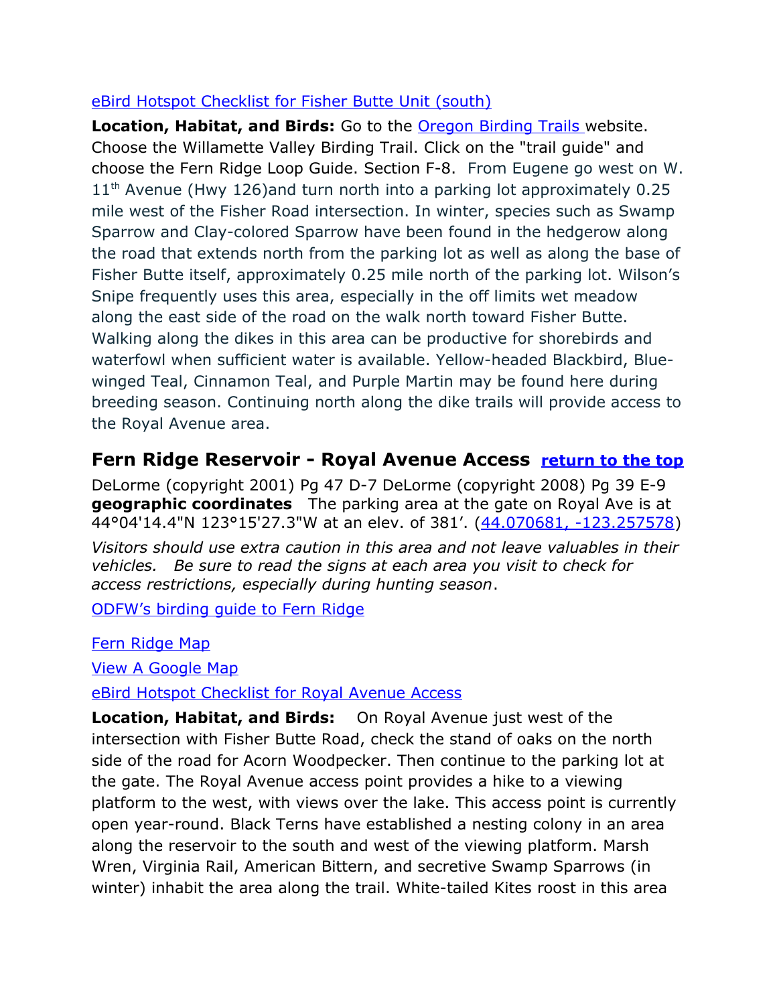#### [eBird Hotspot Checklist for Fisher Butte Unit \(south\)](http://ebird.org/ebird/hotspot/L716976)

**Location, Habitat, and Birds:** Go to the [Oregon Birding Trails w](http://www.oregonbirdingtrails.org/)ebsite. Choose the Willamette Valley Birding Trail. Click on the "trail guide" and choose the Fern Ridge Loop Guide. Section F-8. From Eugene go west on W.  $11<sup>th</sup>$  Avenue (Hwy 126)and turn north into a parking lot approximately 0.25 mile west of the Fisher Road intersection. In winter, species such as Swamp Sparrow and Clay-colored Sparrow have been found in the hedgerow along the road that extends north from the parking lot as well as along the base of Fisher Butte itself, approximately 0.25 mile north of the parking lot. Wilson's Snipe frequently uses this area, especially in the off limits wet meadow along the east side of the road on the walk north toward Fisher Butte. Walking along the dikes in this area can be productive for shorebirds and waterfowl when sufficient water is available. Yellow-headed Blackbird, Bluewinged Teal, Cinnamon Teal, and Purple Martin may be found here during breeding season. Continuing north along the dike trails will provide access to the Royal Avenue area.

#### <span id="page-10-0"></span>**Fern Ridge Reservoir - Royal Avenue Access [return to the top](#page-0-0)**

DeLorme (copyright 2001) Pg 47 D-7 DeLorme (copyright 2008) Pg 39 E-9 **geographic coordinates** The parking area at the gate on Royal Ave is at 44°04'14.4"N 123°15'27.3"W at an elev. of 381'. [\(44.070681, -123.257578\)](https://www.google.com/maps/place/44%C2%B004)

*Visitors should use extra caution in this area and not leave valuables in their vehicles. Be sure to read the signs at each area you visit to check for access restrictions, especially during hunting season*.

[ODFW's birding guide to Fern Ridge](http://www.dfw.state.or.us/resources/visitors/fern_ridge_wildlife_area/bird_watching.asp)

[Fern Ridge Map](https://drive.google.com/file/d/0B3QvY3NIsjaeelBfZFJmdlQ1X0E/view?usp=sharing)

[View A Google Map](http://maps.google.com/maps/ms?hl=en&ie=UTF8&msa=0&ll=44.11717,-123.180256&spn=0.386968,1.055374&z=11&msid=108036481085398338899.00046d5ecdfdd9906b83a)

[eBird Hotspot Checklist for Royal Avenue Access](http://ebird.org/ebird/hotspot/L487048)

**Location, Habitat, and Birds:** On Royal Avenue just west of the intersection with Fisher Butte Road, check the stand of oaks on the north side of the road for Acorn Woodpecker. Then continue to the parking lot at the gate. The Royal Avenue access point provides a hike to a viewing platform to the west, with views over the lake. This access point is currently open year-round. Black Terns have established a nesting colony in an area along the reservoir to the south and west of the viewing platform. Marsh Wren, Virginia Rail, American Bittern, and secretive Swamp Sparrows (in winter) inhabit the area along the trail. White-tailed Kites roost in this area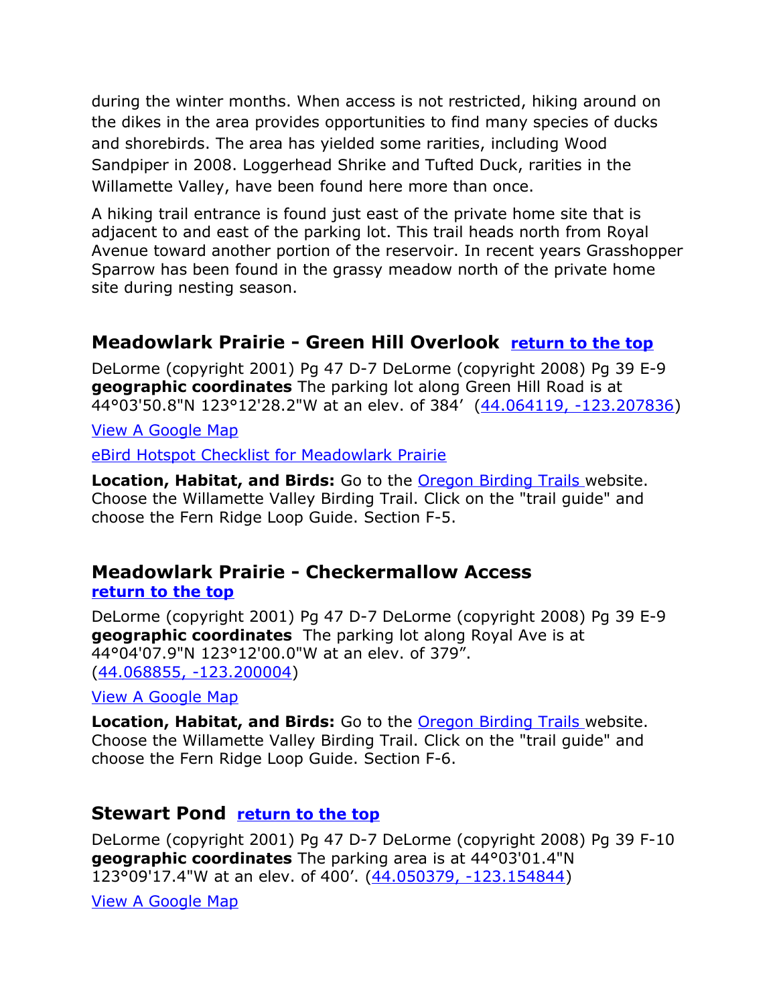during the winter months. When access is not restricted, hiking around on the dikes in the area provides opportunities to find many species of ducks and shorebirds. The area has yielded some rarities, including Wood Sandpiper in 2008. Loggerhead Shrike and Tufted Duck, rarities in the Willamette Valley, have been found here more than once.

A hiking trail entrance is found just east of the private home site that is adjacent to and east of the parking lot. This trail heads north from Royal Avenue toward another portion of the reservoir. In recent years Grasshopper Sparrow has been found in the grassy meadow north of the private home site during nesting season.

#### **Meadowlark Prairie - Green Hill Overlook [return to the top](#page-0-0)**

DeLorme (copyright 2001) Pg 47 D-7 DeLorme (copyright 2008) Pg 39 E-9 **geographic coordinates** The parking lot along Green Hill Road is at 44°03'50.8"N 123°12'28.2"W at an elev. of 384' [\(44.064119, -123.207836\)](https://www.google.com/maps/place/44%C2%B003)

[View A Google Map](http://maps.google.com/maps/ms?hl=en&ie=UTF8&msa=0&ll=44.11717,-123.180256&spn=0.386968,1.055374&z=11&msid=108036481085398338899.00046d5ecdfdd9906b83a)

[eBird Hotspot Checklist for Meadowlark Prairie](http://ebird.org/ebird/hotspot/L742903)

Location, Habitat, and Birds: Go to the **Oregon Birding Trails** website. Choose the Willamette Valley Birding Trail. Click on the "trail guide" and choose the Fern Ridge Loop Guide. Section F-5.

#### <span id="page-11-1"></span>**Meadowlark Prairie - Checkermallow Access [return to the top](#page-0-0)**

DeLorme (copyright 2001) Pg 47 D-7 DeLorme (copyright 2008) Pg 39 E-9 **geographic coordinates** The parking lot along Royal Ave is at 44°04'07.9"N 123°12'00.0"W at an elev. of 379". [\(44.068855, -123.200004\)](https://www.google.com/maps/place/44%C2%B004)

[View A Google Map](http://maps.google.com/maps/ms?hl=en&ie=UTF8&msa=0&ll=44.11717,-123.180256&spn=0.386968,1.055374&z=11&msid=108036481085398338899.00046d5ecdfdd9906b83a)

**Location, Habitat, and Birds:** Go to the [Oregon Birding Trails w](http://www.oregonbirdingtrails.org/)ebsite. Choose the Willamette Valley Birding Trail. Click on the "trail guide" and choose the Fern Ridge Loop Guide. Section F-6.

#### <span id="page-11-0"></span>**Stewart Pond [return to the top](#page-0-0)**

DeLorme (copyright 2001) Pg 47 D-7 DeLorme (copyright 2008) Pg 39 F-10 **geographic coordinates** The parking area is at 44°03'01.4"N 123°09'17.4"W at an elev. of 400'. [\(44.050379, -123.154844\)](https://www.google.com/maps/place/44%C2%B003)

[View A Google Map](http://maps.google.com/maps/ms?hl=en&ie=UTF8&msa=0&ll=44.11717,-123.180256&spn=0.386968,1.055374&z=11&msid=108036481085398338899.00046d5ecdfdd9906b83a)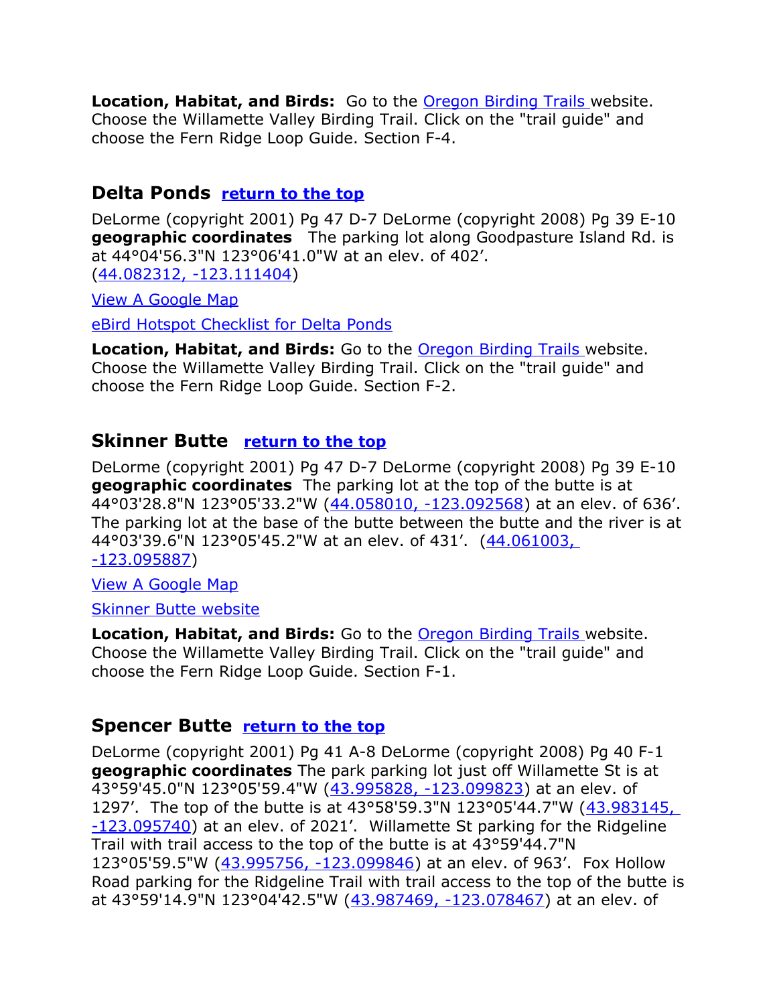**Location, Habitat, and Birds:** Go to the **Oregon Birding Trails** website. Choose the Willamette Valley Birding Trail. Click on the "trail guide" and choose the Fern Ridge Loop Guide. Section F-4.

#### <span id="page-12-2"></span>**Delta Ponds [return to the top](#page-0-0)**

DeLorme (copyright 2001) Pg 47 D-7 DeLorme (copyright 2008) Pg 39 E-10 **geographic coordinates** The parking lot along Goodpasture Island Rd. is at 44°04'56.3"N 123°06'41.0"W at an elev. of 402'. [\(44.082312, -123.111404\)](https://www.google.com/maps/place/44%C2%B004)

[View A Google Map](http://maps.google.com/maps/ms?hl=en&ie=UTF8&msa=0&ll=44.11717,-123.180256&spn=0.386968,1.055374&z=11&msid=108036481085398338899.00046d5ecdfdd9906b83a)

[eBird Hotspot Checklist for Delta Ponds](http://ebird.org/ebird/hotspot/L505753)

**Location, Habitat, and Birds:** Go to the **Oregon Birding Trails** website. Choose the Willamette Valley Birding Trail. Click on the "trail guide" and choose the Fern Ridge Loop Guide. Section F-2.

#### <span id="page-12-1"></span>**Skinner Butte [return to the top](#page-0-0)**

DeLorme (copyright 2001) Pg 47 D-7 DeLorme (copyright 2008) Pg 39 E-10 **geographic coordinates** The parking lot at the top of the butte is at 44°03'28.8"N 123°05'33.2"W [\(44.058010, -123.092568\)](https://www.google.com/maps/place/44%C2%B003) at an elev. of 636'. The parking lot at the base of the butte between the butte and the river is at 44°03'39.6"N 123°05'45.2"W at an elev. of 431'. [\(44.061003,](https://www.google.com/maps/place/44%C2%B003)  [-123.095887\)](https://www.google.com/maps/place/44%C2%B003)

[View A Google Map](http://maps.google.com/maps/ms?hl=en&ie=UTF8&msa=0&ll=44.11717,-123.180256&spn=0.386968,1.055374&z=11&msid=108036481085398338899.00046d5ecdfdd9906b83a)

[Skinner Butte website](http://eugeneareaparks.com/park.php?id=60)

**Location, Habitat, and Birds:** Go to the **Oregon Birding Trails** website. Choose the Willamette Valley Birding Trail. Click on the "trail guide" and choose the Fern Ridge Loop Guide. Section F-1.

#### <span id="page-12-0"></span>**Spencer Butte [return to the top](#page-0-0)**

DeLorme (copyright 2001) Pg 41 A-8 DeLorme (copyright 2008) Pg 40 F-1 **geographic coordinates** The park parking lot just off Willamette St is at 43°59'45.0"N 123°05'59.4"W [\(43.995828, -123.099823\)](https://www.google.com/maps/place/43%C2%B059) at an elev. of 1297'. The top of the butte is at 43°58'59.3"N 123°05'44.7"W [\(43.983145,](https://www.google.com/maps/place/43%C2%B058)  [-123.095740\)](https://www.google.com/maps/place/43%C2%B058) at an elev. of 2021'. Willamette St parking for the Ridgeline Trail with trail access to the top of the butte is at 43°59'44.7"N 123°05'59.5"W [\(43.995756, -123.099846\)](https://www.google.com/maps/place/43%C2%B059) at an elev. of 963'. Fox Hollow Road parking for the Ridgeline Trail with trail access to the top of the butte is at 43°59'14.9"N 123°04'42.5"W [\(43.987469, -123.078467\)](https://www.google.com/maps/place/43%C2%B059) at an elev. of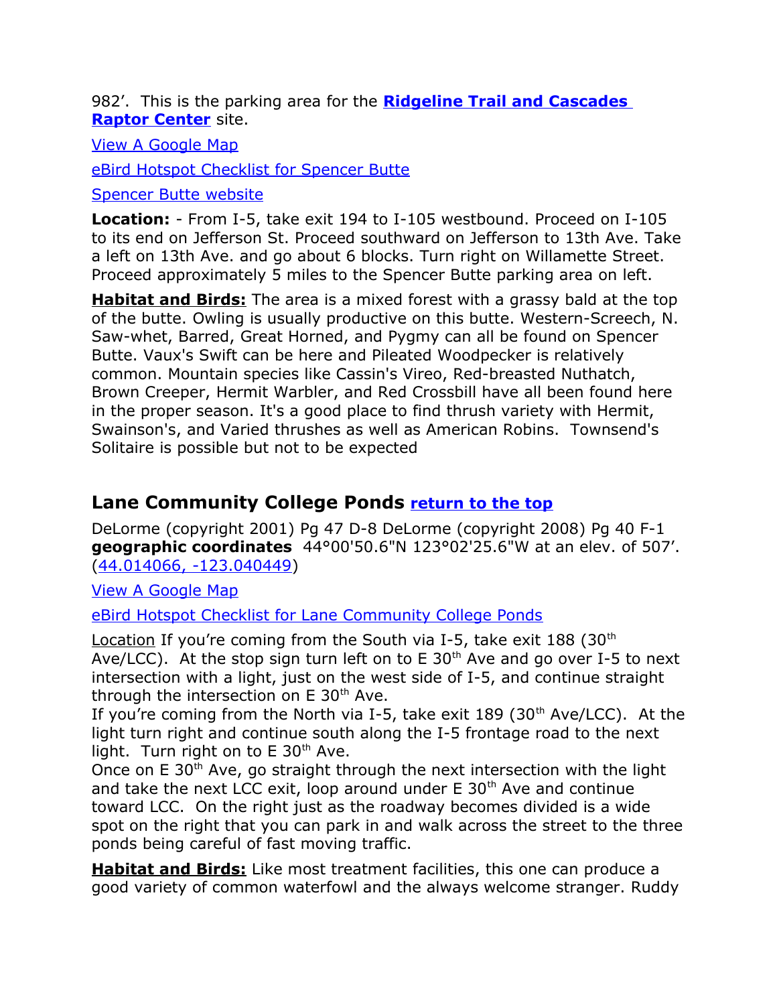<span id="page-13-1"></span>982'. This is the parking area for the **[Ridgeline Trail and Cascades](#page-13-1)  [Raptor Center](#page-13-1)** site.

[View A Google Map](http://maps.google.com/maps/ms?hl=en&ie=UTF8&msa=0&msid=108036481085398338899.000475aaaf28255b89cbd&ll=43.988368,-123.09391&spn=0.212185,0.527&z=12)

[eBird Hotspot Checklist for Spencer Butte](http://ebird.org/ebird/hotspot/L156861)

[Spencer Butte website](http://eugeneareaparks.com/park.php?id=13)

**Location:** - From I-5, take exit 194 to I-105 westbound. Proceed on I-105 to its end on Jefferson St. Proceed southward on Jefferson to 13th Ave. Take a left on 13th Ave. and go about 6 blocks. Turn right on Willamette Street. Proceed approximately 5 miles to the Spencer Butte parking area on left.

**Habitat and Birds:** The area is a mixed forest with a grassy bald at the top of the butte. Owling is usually productive on this butte. Western-Screech, N. Saw-whet, Barred, Great Horned, and Pygmy can all be found on Spencer Butte. Vaux's Swift can be here and Pileated Woodpecker is relatively common. Mountain species like Cassin's Vireo, Red-breasted Nuthatch, Brown Creeper, Hermit Warbler, and Red Crossbill have all been found here in the proper season. It's a good place to find thrush variety with Hermit, Swainson's, and Varied thrushes as well as American Robins. Townsend's Solitaire is possible but not to be expected

#### <span id="page-13-0"></span>**Lane Community College Ponds [return to the top](#page-0-0)**

DeLorme (copyright 2001) Pg 47 D-8 DeLorme (copyright 2008) Pg 40 F-1 **geographic coordinates** 44°00'50.6"N 123°02'25.6"W at an elev. of 507'. [\(44.014066, -123.040449\)](https://www.google.com/maps/place/44%C2%B000)

[View A Google Map](http://maps.google.com/maps/ms?hl=en&ie=UTF8&msa=0&ll=44.024422,-123.00293&spn=0.098005,0.264187&z=13&msid=108036481085398338899.00047221f9aac3102ba3b)

[eBird Hotspot Checklist for Lane Community College Ponds](http://ebird.org/ebird/hotspot/L742986)

Location If you're coming from the South via I-5, take exit  $188$  (30<sup>th</sup>) Ave/LCC). At the stop sign turn left on to  $E$  30<sup>th</sup> Ave and go over I-5 to next intersection with a light, just on the west side of I-5, and continue straight through the intersection on  $E$  30<sup>th</sup> Ave.

If you're coming from the North via I-5, take exit  $189$  (30<sup>th</sup> Ave/LCC). At the light turn right and continue south along the I-5 frontage road to the next light. Turn right on to  $E$  30<sup>th</sup> Ave.

Once on E 30<sup>th</sup> Ave, go straight through the next intersection with the light and take the next LCC exit, loop around under  $E$  30<sup>th</sup> Ave and continue toward LCC. On the right just as the roadway becomes divided is a wide spot on the right that you can park in and walk across the street to the three ponds being careful of fast moving traffic.

**Habitat and Birds:** Like most treatment facilities, this one can produce a good variety of common waterfowl and the always welcome stranger. Ruddy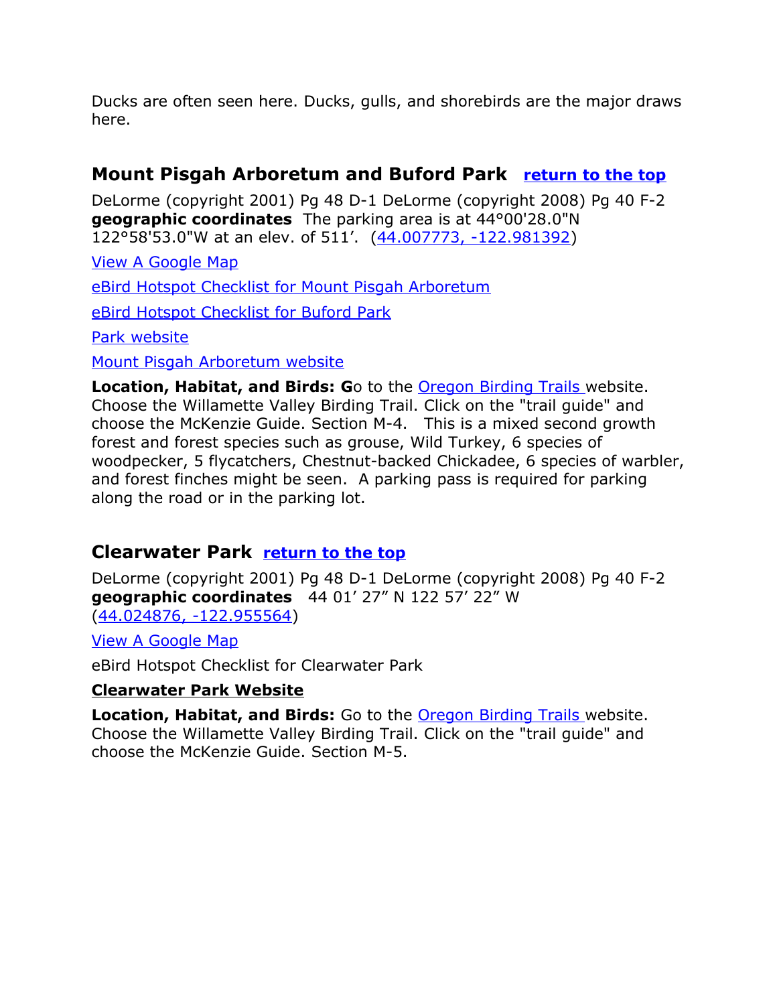Ducks are often seen here. Ducks, gulls, and shorebirds are the major draws here.

#### <span id="page-14-1"></span>**Mount Pisgah Arboretum and Buford Park [return to the top](#page-0-0)**

DeLorme (copyright 2001) Pg 48 D-1 DeLorme (copyright 2008) Pg 40 F-2 **geographic coordinates** The parking area is at 44°00'28.0"N 122°58'53.0"W at an elev. of 511'. [\(44.007773, -122.981392\)](https://www.google.com/maps/place/44%C2%B000)

[View A Google Map](http://maps.google.com/maps/ms?ie=UTF8&hl=en&msa=0&msid=108036481085398338899.00046d60d3826365e3449&ll=44.056012,-122.932892&spn=0.194178,0.527687&z=12)

[eBird Hotspot Checklist for Mount Pisgah Arboretum](http://ebird.org/ebird/hotspot/L629358)

[eBird Hotspot Checklist for Buford Park](http://ebird.org/ebird/hotspot/L156865)

[Park website](http://www.bufordpark.org/pisgah)

[Mount Pisgah Arboretum website](http://mountpisgaharboretum.org/)

**Location, Habitat, and Birds: G**o to the [Oregon Birding Trails w](http://www.oregonbirdingtrails.org/)ebsite. Choose the Willamette Valley Birding Trail. Click on the "trail guide" and choose the McKenzie Guide. Section M-4. This is a mixed second growth forest and forest species such as grouse, Wild Turkey, 6 species of woodpecker, 5 flycatchers, Chestnut-backed Chickadee, 6 species of warbler, and forest finches might be seen. A parking pass is required for parking along the road or in the parking lot.

#### <span id="page-14-0"></span>**Clearwater Park [return to the top](#page-0-0)**

DeLorme (copyright 2001) Pg 48 D-1 DeLorme (copyright 2008) Pg 40 F-2 **geographic coordinates** 44 01' 27" N 122 57' 22" W [\(44.024876, -122.955564\)](https://www.google.com/maps/place/44%C2%B001)

[View A Google Map](http://maps.google.com/maps/ms?ie=UTF8&hl=en&msa=0&msid=108036481085398338899.00046d60d3826365e3449&ll=44.056012,-122.932892&spn=0.194178,0.527687&z=12)

eBird Hotspot Checklist for Clearwater Park

#### **[Clearwater Park Website](https://www.eugenecascadescoast.org/listing/clearwater-park/6197/)**

**Location, Habitat, and Birds:** Go to the [Oregon Birding Trails w](http://www.oregonbirdingtrails.org/)ebsite. Choose the Willamette Valley Birding Trail. Click on the "trail guide" and choose the McKenzie Guide. Section M-5.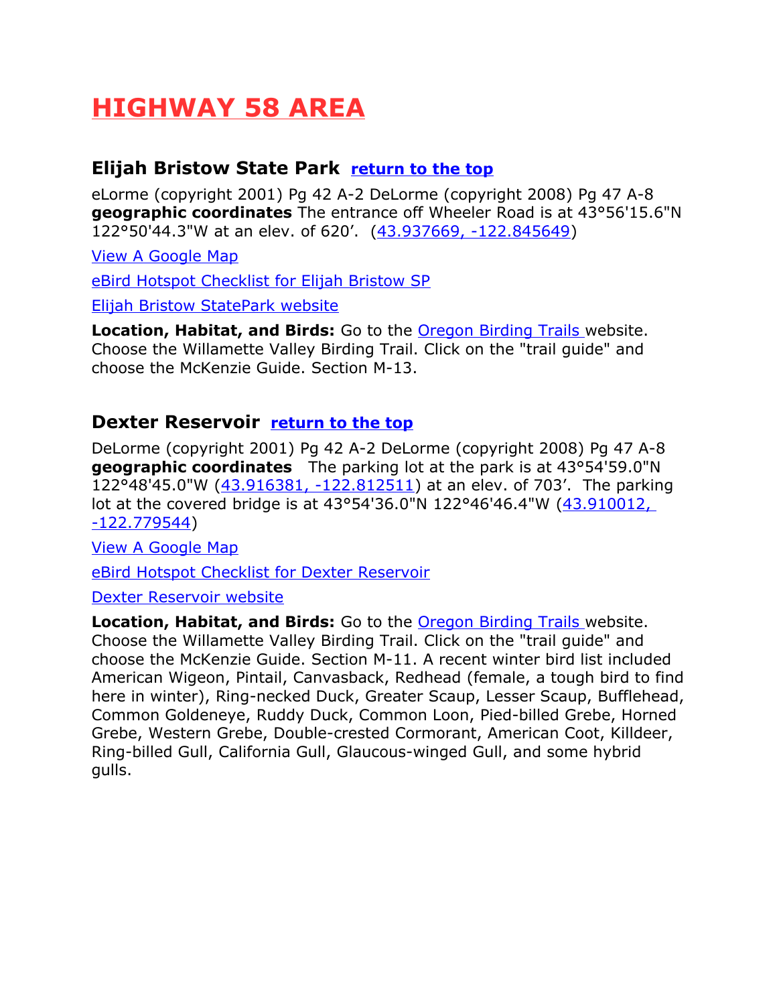## <span id="page-15-2"></span>**HIGHWAY 58 AREA**

#### <span id="page-15-1"></span>**Elijah Bristow State Park [return to the top](#page-0-0)**

eLorme (copyright 2001) Pg 42 A-2 DeLorme (copyright 2008) Pg 47 A-8 **geographic coordinates** The entrance off Wheeler Road is at 43°56'15.6"N 122°50'44.3"W at an elev. of 620'. [\(43.937669, -122.845649\)](https://www.google.com/maps/place/43%C2%B056)

[View A Google Map](http://maps.google.com/maps/ms?ie=UTF8&hl=en&msa=0&ll=43.866218,-122.450867&spn=0.779192,2.110748&z=10&msid=108036481085398338899.00046d6d7c5fa3734e7d3) [eBird Hotspot Checklist for Elijah Bristow SP](http://ebird.org/ebird/hotspot/L755754)

[Elijah Bristow StatePark website](http://oregonstateparks.org/index.cfm?do=parkPage.dsp_parkPage&parkId=60)

**Location, Habitat, and Birds:** Go to the [Oregon Birding Trails w](http://www.oregonbirdingtrails.org/)ebsite. Choose the Willamette Valley Birding Trail. Click on the "trail guide" and choose the McKenzie Guide. Section M-13.

#### <span id="page-15-0"></span>**Dexter Reservoir [return to the top](#page-0-0)**

DeLorme (copyright 2001) Pg 42 A-2 DeLorme (copyright 2008) Pg 47 A-8 **geographic coordinates** The parking lot at the park is at 43°54'59.0"N 122°48'45.0"W [\(43.916381, -122.812511\)](https://www.google.com/maps/place/43%C2%B054) at an elev. of 703'. The parking lot at the covered bridge is at 43°54'36.0"N 122°46'46.4"W [\(43.910012,](https://www.google.com/maps/place/43%C2%B054)  [-122.779544\)](https://www.google.com/maps/place/43%C2%B054)

[View A Google Map](http://maps.google.com/maps/ms?ie=UTF8&hl=en&msa=0&ll=43.866218,-122.450867&spn=0.779192,2.110748&z=10&msid=108036481085398338899.00046d6d7c5fa3734e7d3)

[eBird Hotspot Checklist for Dexter Reservoir](http://ebird.org/ebird/hotspot/L742873)

[Dexter Reservoir website](http://eugeneareaparks.com/park.php?id=51)

**Location, Habitat, and Birds:** Go to the [Oregon Birding Trails w](http://www.oregonbirdingtrails.org/)ebsite. Choose the Willamette Valley Birding Trail. Click on the "trail guide" and choose the McKenzie Guide. Section M-11. A recent winter bird list included American Wigeon, Pintail, Canvasback, Redhead (female, a tough bird to find here in winter), Ring-necked Duck, Greater Scaup, Lesser Scaup, Bufflehead, Common Goldeneye, Ruddy Duck, Common Loon, Pied-billed Grebe, Horned Grebe, Western Grebe, Double-crested Cormorant, American Coot, Killdeer, Ring-billed Gull, California Gull, Glaucous-winged Gull, and some hybrid gulls.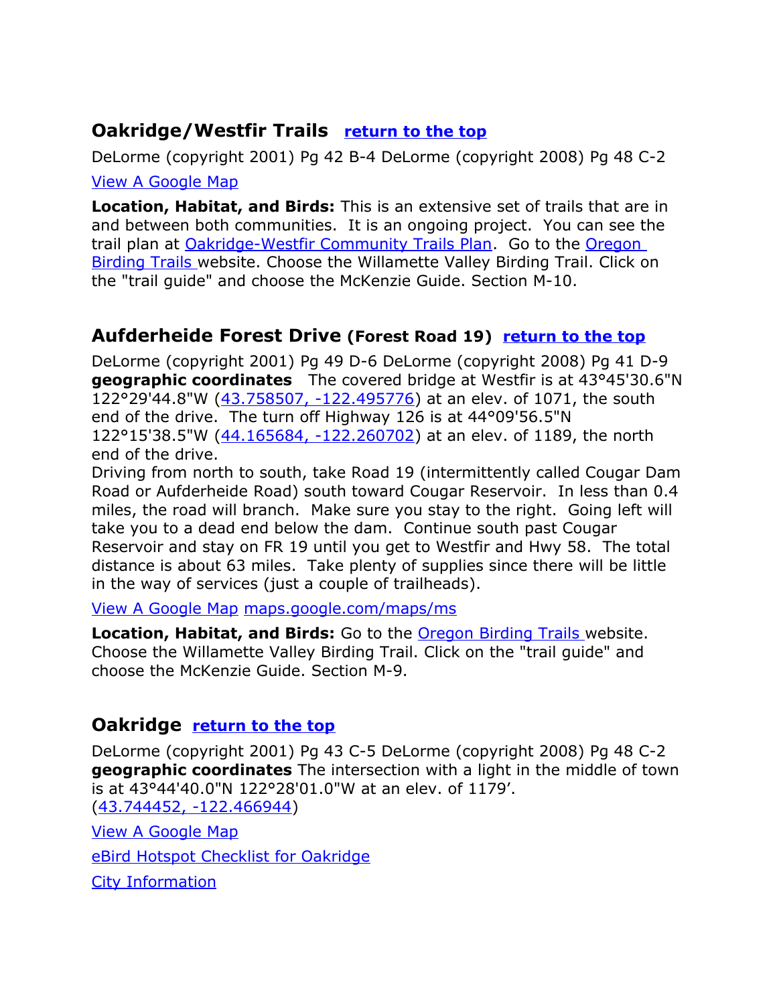#### <span id="page-16-2"></span>**Oakridge/Westfir Trails [return to the top](#page-0-0)**

DeLorme (copyright 2001) Pg 42 B-4 DeLorme (copyright 2008) Pg 48 C-2 [View A Google Map](https://www.google.com/maps/d/viewer?mid=1tFmhdzeLt_y1_R1q8hWKwqOmzzU)

**Location, Habitat, and Birds:** This is an extensive set of trails that are in and between both communities. It is an ongoing project. You can see the trail plan at [Oakridge-Westfir Community Trails Plan.](http://www.ci.oakridge.or.us/sites/default/files/fileattachments/General/page/679/oakridge-westfir_trails_plan.pdf) Go to the [Oregon](http://www.oregonbirdingtrails.org/)  [Birding Trails w](http://www.oregonbirdingtrails.org/)ebsite. Choose the Willamette Valley Birding Trail. Click on the "trail guide" and choose the McKenzie Guide. Section M-10.

#### <span id="page-16-1"></span>**Aufderheide Forest Drive (Forest Road 19) [return to the top](#page-0-0)**

DeLorme (copyright 2001) Pg 49 D-6 DeLorme (copyright 2008) Pg 41 D-9 **geographic coordinates** The covered bridge at Westfir is at 43°45'30.6"N 122°29'44.8"W [\(43.758507, -122.495776\)](https://www.google.com/maps/place/43%C2%B045) at an elev. of 1071, the south end of the drive. The turn off Highway 126 is at 44°09'56.5"N 122°15'38.5"W [\(44.165684, -122.260702\)](https://www.google.com/maps/place/44%C2%B009) at an elev. of 1189, the north end of the drive.

Driving from north to south, take Road 19 (intermittently called Cougar Dam Road or Aufderheide Road) south toward Cougar Reservoir. In less than 0.4 miles, the road will branch. Make sure you stay to the right. Going left will take you to a dead end below the dam. Continue south past Cougar Reservoir and stay on FR 19 until you get to Westfir and Hwy 58. The total distance is about 63 miles. Take plenty of supplies since there will be little in the way of services (just a couple of trailheads).

View A Google Map [maps.google.com/maps/ms](http://maps.google.com/maps/ms?ie=UTF8&hl=en&msa=0&ll=43.991827,-122.060852&spn=0.777548,2.110748&z=10&msid=108036481085398338899.00046d6d32c6e0ec7bf00)

**Location, Habitat, and Birds:** Go to the [Oregon Birding Trails w](http://www.oregonbirdingtrails.org/)ebsite. Choose the Willamette Valley Birding Trail. Click on the "trail guide" and choose the McKenzie Guide. Section M-9.

#### <span id="page-16-0"></span>**Oakridge [return to the top](#page-0-0)**

DeLorme (copyright 2001) Pg 43 C-5 DeLorme (copyright 2008) Pg 48 C-2 **geographic coordinates** The intersection with a light in the middle of town is at 43°44'40.0"N 122°28'01.0"W at an elev. of 1179'. [\(43.744452, -122.466944\)](https://www.google.com/maps/place/43%C2%B044)

[View A Google Map](http://maps.google.com/maps/ms?hl=en&ie=UTF8&msa=0&msid=108036481085398338899.00046ca232f9b8f9c1cd7&ll=43.68575,-122.198181&spn=0.308848,0.865173&z=11) [eBird Hotspot Checklist for Oakridge](http://ebird.org/ebird/hotspot/L627304) [City Information](http://www.citytowninfo.com/places/oregon/oakridge)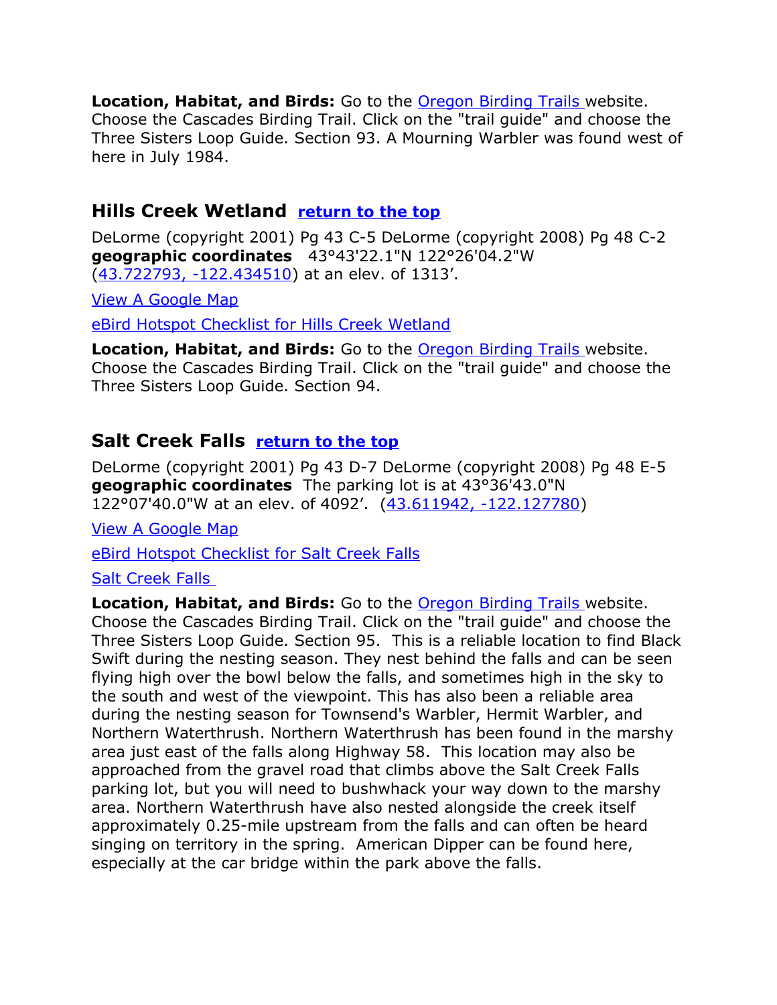**Location, Habitat, and Birds:** Go to the [Oregon Birding Trails w](http://www.oregonbirdingtrails.org/)ebsite. Choose the Cascades Birding Trail. Click on the "trail guide" and choose the Three Sisters Loop Guide. Section 93. A Mourning Warbler was found west of here in July 1984.

#### <span id="page-17-1"></span>**Hills Creek Wetland [return to the top](#page-0-0)**

DeLorme (copyright 2001) Pg 43 C-5 DeLorme (copyright 2008) Pg 48 C-2 **geographic coordinates** 43°43'22.1"N 122°26'04.2"W [\(43.722793, -122.434510\)](https://www.google.com/maps/place/43%C2%B043) at an elev. of 1313'.

[View A Google Map](http://maps.google.com/maps/ms?hl=en&ie=UTF8&msa=0&msid=108036481085398338899.00046ca232f9b8f9c1cd7&ll=43.68575,-122.198181&spn=0.308848,0.865173&z=11)

[eBird Hotspot Checklist for Hills Creek Wetland](http://ebird.org/ebird/hotspot/L742900)

**Location, Habitat, and Birds:** Go to the [Oregon Birding Trails w](http://www.oregonbirdingtrails.org/)ebsite. Choose the Cascades Birding Trail. Click on the "trail guide" and choose the Three Sisters Loop Guide. Section 94.

#### <span id="page-17-0"></span>**Salt Creek Falls [return to the top](#page-0-0)**

DeLorme (copyright 2001) Pg 43 D-7 DeLorme (copyright 2008) Pg 48 E-5 **geographic coordinates** The parking lot is at 43°36'43.0"N 122°07'40.0"W at an elev. of 4092'. [\(43.611942, -122.127780\)](https://www.google.com/maps/place/43%C2%B036)

[View A Google Map](http://maps.google.com/maps/ms?hl=en&ie=UTF8&msa=0&msid=108036481085398338899.00046ca232f9b8f9c1cd7&ll=43.68575,-122.198181&spn=0.308848,0.865173&z=11)

[eBird Hotspot Checklist for Salt Creek Falls](http://ebird.org/ebird/hotspot/L742929)

#### [Salt Creek Falls](http://www.waterfallsnorthwest.com/nws/falls.php?num=4153)

**Location, Habitat, and Birds:** Go to the [Oregon Birding Trails w](http://www.oregonbirdingtrails.org/)ebsite. Choose the Cascades Birding Trail. Click on the "trail guide" and choose the Three Sisters Loop Guide. Section 95. This is a reliable location to find Black Swift during the nesting season. They nest behind the falls and can be seen flying high over the bowl below the falls, and sometimes high in the sky to the south and west of the viewpoint. This has also been a reliable area during the nesting season for Townsend's Warbler, Hermit Warbler, and Northern Waterthrush. Northern Waterthrush has been found in the marshy area just east of the falls along Highway 58. This location may also be approached from the gravel road that climbs above the Salt Creek Falls parking lot, but you will need to bushwhack your way down to the marshy area. Northern Waterthrush have also nested alongside the creek itself approximately 0.25-mile upstream from the falls and can often be heard singing on territory in the spring. American Dipper can be found here, especially at the car bridge within the park above the falls.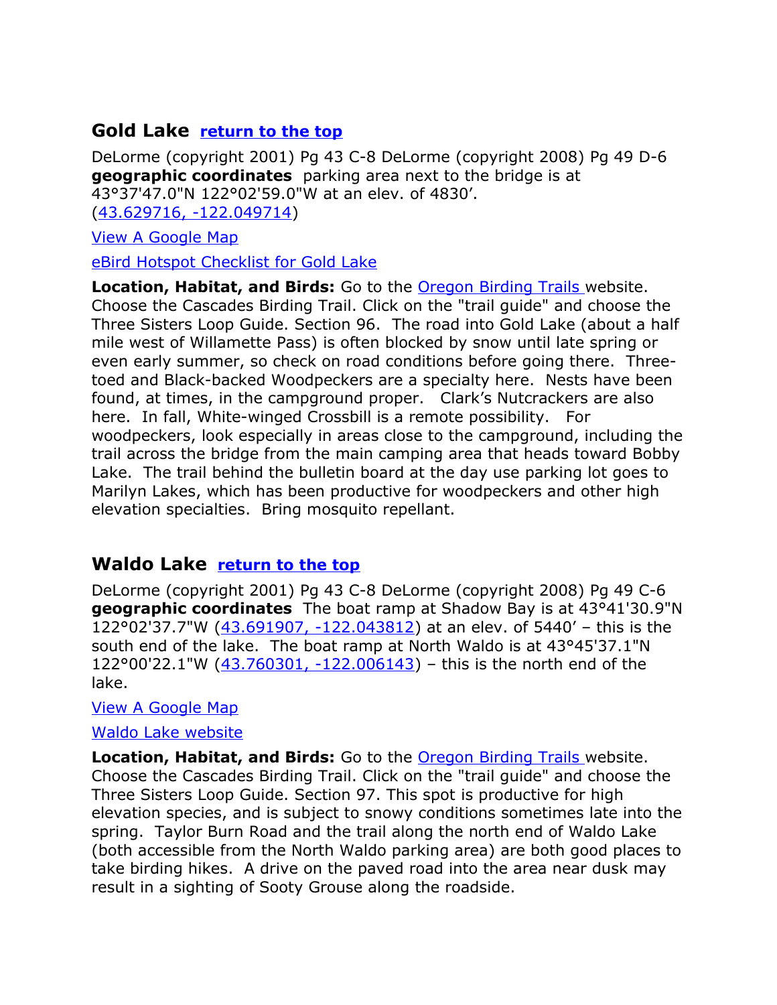#### <span id="page-18-1"></span>**Gold Lake [return to the top](#page-0-0)**

DeLorme (copyright 2001) Pg 43 C-8 DeLorme (copyright 2008) Pg 49 D-6 **geographic coordinates** parking area next to the bridge is at 43°37'47.0"N 122°02'59.0"W at an elev. of 4830'. [\(43.629716, -122.049714\)](https://www.google.com/maps/place/43%C2%B037)

[View A Google Map](http://maps.google.com/maps/ms?hl=en&ie=UTF8&msa=0&msid=108036481085398338899.00046ca232f9b8f9c1cd7&ll=43.68575,-122.198181&spn=0.308848,0.865173&z=11)

[eBird Hotspot Checklist for Gold Lake](http://ebird.org/ebird/hotspot/L742950)

**Location, Habitat, and Birds:** Go to the [Oregon Birding Trails w](http://www.oregonbirdingtrails.org/)ebsite. Choose the Cascades Birding Trail. Click on the "trail guide" and choose the Three Sisters Loop Guide. Section 96. The road into Gold Lake (about a half mile west of Willamette Pass) is often blocked by snow until late spring or even early summer, so check on road conditions before going there. Threetoed and Black-backed Woodpeckers are a specialty here. Nests have been found, at times, in the campground proper. Clark's Nutcrackers are also here. In fall, White-winged Crossbill is a remote possibility. For woodpeckers, look especially in areas close to the campground, including the trail across the bridge from the main camping area that heads toward Bobby Lake. The trail behind the bulletin board at the day use parking lot goes to Marilyn Lakes, which has been productive for woodpeckers and other high elevation specialties. Bring mosquito repellant.

#### <span id="page-18-0"></span>**Waldo Lake [return to the top](#page-0-0)**

DeLorme (copyright 2001) Pg 43 C-8 DeLorme (copyright 2008) Pg 49 C-6 **geographic coordinates** The boat ramp at Shadow Bay is at 43°41'30.9"N 122°02'37.7"W [\(43.691907, -122.043812\)](https://www.google.com/maps/place/43%C2%B041) at an elev. of 5440' – this is the south end of the lake. The boat ramp at North Waldo is at 43°45'37.1"N 122°00'22.1"W [\(43.760301, -122.006143\)](https://www.google.com/maps/place/43%C2%B045) – this is the north end of the lake.

[View A Google Map](http://maps.google.com/maps/ms?hl=en&ie=UTF8&msa=0&msid=108036481085398338899.00046ca232f9b8f9c1cd7&ll=43.68575,-122.198181&spn=0.308848,0.865173&z=11)

#### [Waldo Lake website](http://www.oregonwild.org/waters/waldo-lake)

**Location, Habitat, and Birds:** Go to the [Oregon Birding Trails w](http://www.oregonbirdingtrails.org/)ebsite. Choose the Cascades Birding Trail. Click on the "trail guide" and choose the Three Sisters Loop Guide. Section 97. This spot is productive for high elevation species, and is subject to snowy conditions sometimes late into the spring. Taylor Burn Road and the trail along the north end of Waldo Lake (both accessible from the North Waldo parking area) are both good places to take birding hikes. A drive on the paved road into the area near dusk may result in a sighting of Sooty Grouse along the roadside.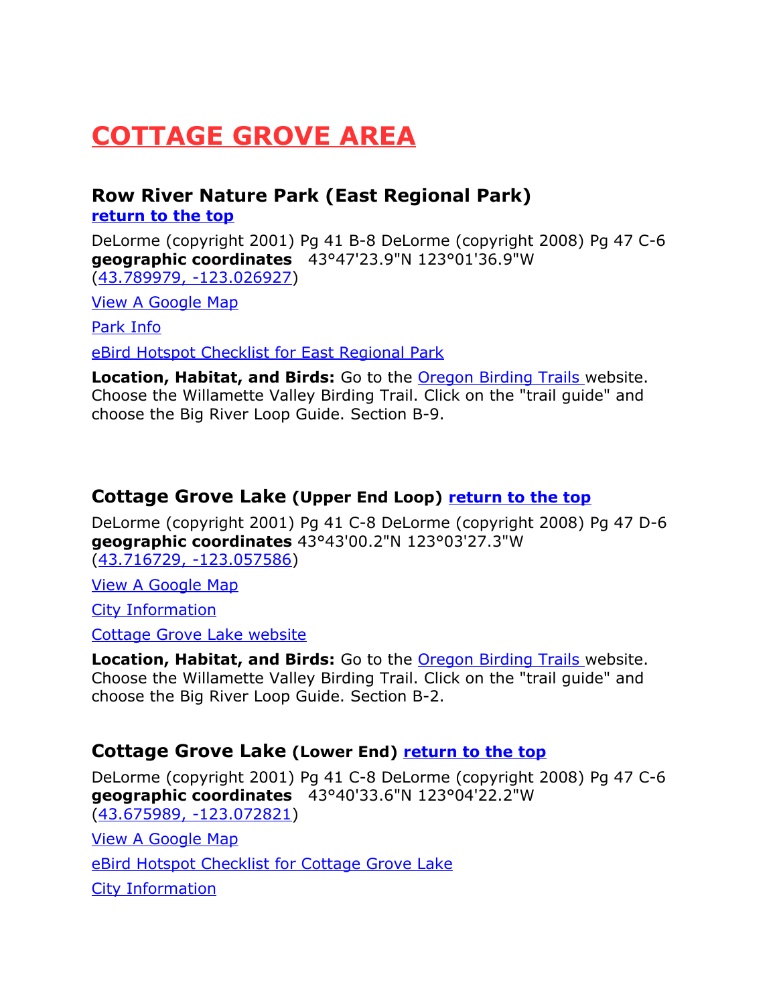## <span id="page-19-2"></span>**COTTAGE GROVE AREA**

#### <span id="page-19-1"></span>**Row River Nature Park (East Regional Park) [return to the top](#page-0-0)**

DeLorme (copyright 2001) Pg 41 B-8 DeLorme (copyright 2008) Pg 47 C-6 **geographic coordinates** 43°47'23.9"N 123°01'36.9"W [\(43.789979, -123.026927\)](https://www.google.com/maps/place/43%C2%B047)

[View A Google Map](http://maps.google.com/maps/ms?hl=en&ie=UTF8&msa=0&ll=43.755225,-122.861481&spn=0.778658,2.110748&z=10&msid=108036481085398338899.00046d7f290f24254d480)

[Park Info](http://www.mysouthlane.com/2012/row-river-nature-park-walking-path/)

[eBird Hotspot Checklist for East Regional Park](http://ebird.org/ebird/hotspot/L1112644)

**Location, Habitat, and Birds:** Go to the [Oregon Birding Trails w](http://www.oregonbirdingtrails.org/)ebsite. Choose the Willamette Valley Birding Trail. Click on the "trail guide" and choose the Big River Loop Guide. Section B-9.

#### <span id="page-19-0"></span>**Cottage Grove Lake (Upper End Loop) [return to the top](#page-0-0)**

DeLorme (copyright 2001) Pg 41 C-8 DeLorme (copyright 2008) Pg 47 D-6 **geographic coordinates** 43°43'00.2"N 123°03'27.3"W [\(43.716729, -123.057586\)](https://www.google.com/maps/place/43%C2%B043)

[View A Google Map](http://maps.google.com/maps/ms?hl=en&ie=UTF8&msa=0&ll=43.755225,-122.861481&spn=0.778658,2.110748&z=10&msid=108036481085398338899.00046d7f290f24254d480)

[City Information](http://www.citytowninfo.com/places/oregon/cottage-grove)

[Cottage Grove Lake website](http://eugeneareaparks.com/park.php?id=59)

**Location, Habitat, and Birds:** Go to the **Oregon Birding Trails** website. Choose the Willamette Valley Birding Trail. Click on the "trail guide" and choose the Big River Loop Guide. Section B-2.

#### **Cottage Grove Lake (Lower End) [return to the top](#page-0-0)**

DeLorme (copyright 2001) Pg 41 C-8 DeLorme (copyright 2008) Pg 47 C-6 **geographic coordinates** 43°40'33.6"N 123°04'22.2"W [\(43.675989, -123.072821\)](https://www.google.com/maps/place/43%C2%B040)

[View A Google Map](http://maps.google.com/maps/ms?hl=en&ie=UTF8&msa=0&ll=43.755225,-122.861481&spn=0.778658,2.110748&z=10&msid=108036481085398338899.00046d7f290f24254d480)

[eBird Hotspot Checklist for Cottage Grove Lake](http://ebird.org/ebird/hotspot/L1467135)

[City Information](http://www.citytowninfo.com/places/oregon/cottage-grove)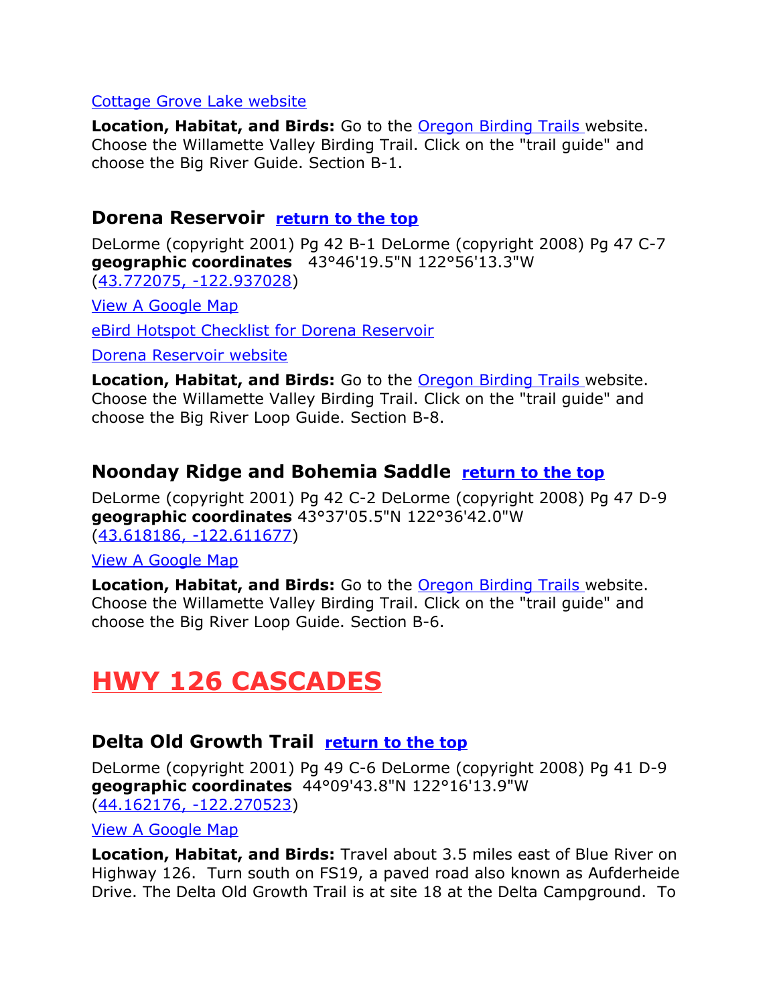#### [Cottage Grove Lake website](http://eugeneareaparks.com/park.php?id=59)

**Location, Habitat, and Birds:** Go to the [Oregon Birding Trails w](http://www.oregonbirdingtrails.org/)ebsite. Choose the Willamette Valley Birding Trail. Click on the "trail guide" and choose the Big River Guide. Section B-1.

#### <span id="page-20-3"></span>**Dorena Reservoir [return to the top](#page-0-0)**

DeLorme (copyright 2001) Pg 42 B-1 DeLorme (copyright 2008) Pg 47 C-7 **geographic coordinates** 43°46'19.5"N 122°56'13.3"W [\(43.772075, -122.937028\)](https://www.google.com/maps/place/43%C2%B046)

[View A Google Map](http://maps.google.com/maps/ms?hl=en&ie=UTF8&msa=0&ll=43.755225,-122.861481&spn=0.778658,2.110748&z=10&msid=108036481085398338899.00046d7f290f24254d480)

[eBird Hotspot Checklist for Dorena Reservoir](http://ebird.org/ebird/hotspot/L789075)

[Dorena Reservoir website](http://eugeneareaparks.com/park.php?id=49)

**Location, Habitat, and Birds:** Go to the [Oregon Birding Trails w](http://www.oregonbirdingtrails.org/)ebsite. Choose the Willamette Valley Birding Trail. Click on the "trail guide" and choose the Big River Loop Guide. Section B-8.

#### <span id="page-20-2"></span>**Noonday Ridge and Bohemia Saddle [return to the top](#page-0-0)**

DeLorme (copyright 2001) Pg 42 C-2 DeLorme (copyright 2008) Pg 47 D-9 **geographic coordinates** 43°37'05.5"N 122°36'42.0"W [\(43.618186, -122.611677\)](https://www.google.com/maps/place/43%C2%B037)

[View A Google Map](http://maps.google.com/maps/ms?hl=en&ie=UTF8&msa=0&ll=43.755225,-122.861481&spn=0.778658,2.110748&z=10&msid=108036481085398338899.00046d7f290f24254d480)

**Location, Habitat, and Birds:** Go to the [Oregon Birding Trails w](http://www.oregonbirdingtrails.org/)ebsite. Choose the Willamette Valley Birding Trail. Click on the "trail guide" and choose the Big River Loop Guide. Section B-6.

## <span id="page-20-1"></span>**HWY 126 CASCADES**

#### <span id="page-20-0"></span>**Delta Old Growth Trail [return to the top](#page-0-0)**

DeLorme (copyright 2001) Pg 49 C-6 DeLorme (copyright 2008) Pg 41 D-9 **geographic coordinates** 44°09'43.8"N 122°16'13.9"W [\(44.162176, -122.270523\)](https://www.google.com/maps/place/44%C2%B009)

[View A Google Map](http://maps.google.com/maps/ms?hl=en&ie=UTF8&msa=0&msid=108036481085398338899.00046c97c859111036828&ll=44.132942,-122.254486&spn=0.613072,1.730347&z=10)

**Location, Habitat, and Birds:** Travel about 3.5 miles east of Blue River on Highway 126. Turn south on FS19, a paved road also known as Aufderheide Drive. The Delta Old Growth Trail is at site 18 at the Delta Campground. To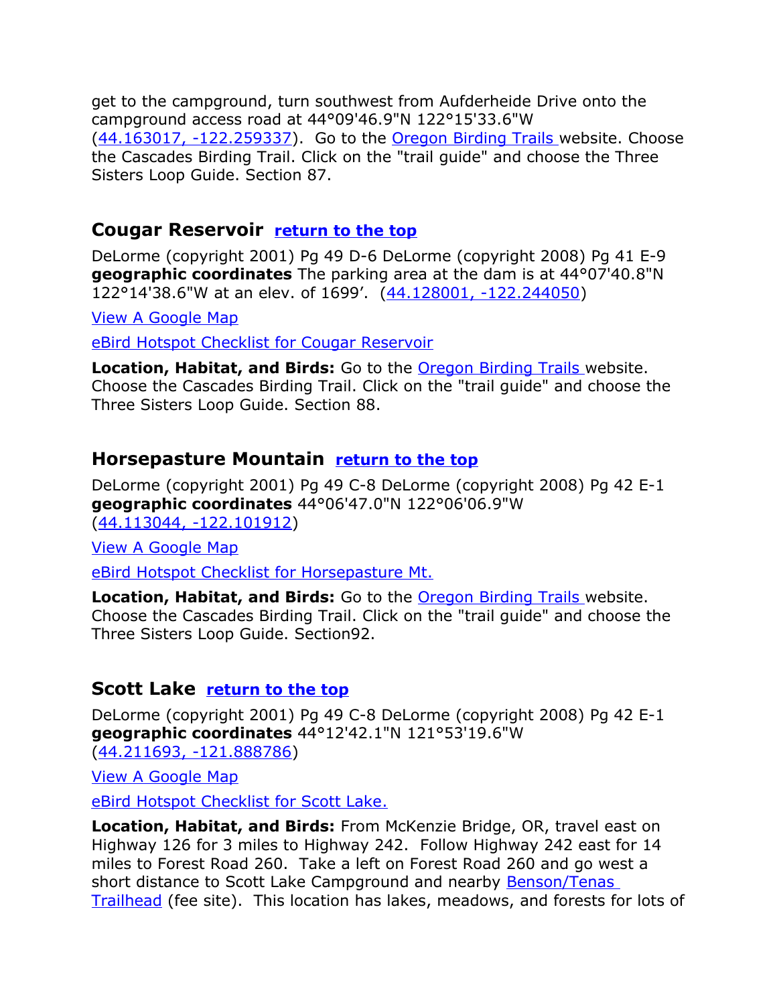get to the campground, turn southwest from Aufderheide Drive onto the campground access road at 44°09'46.9"N 122°15'33.6"W  $(44.163017, -122.259337)$ . Go to the [Oregon Birding Trails w](http://www.oregonbirdingtrails.org/)ebsite. Choose the Cascades Birding Trail. Click on the "trail guide" and choose the Three Sisters Loop Guide. Section 87.

#### <span id="page-21-2"></span>**Cougar Reservoir [return to the top](#page-0-0)**

DeLorme (copyright 2001) Pg 49 D-6 DeLorme (copyright 2008) Pg 41 E-9 **geographic coordinates** The parking area at the dam is at 44°07'40.8"N 122°14'38.6"W at an elev. of 1699'. [\(44.128001, -122.244050\)](https://www.google.com/maps/place/44%C2%B007)

[View A Google Map](http://maps.google.com/maps/ms?hl=en&ie=UTF8&msa=0&msid=108036481085398338899.00046c97c859111036828&ll=44.132942,-122.254486&spn=0.613072,1.730347&z=10)

[eBird Hotspot Checklist for Cougar Reservoir](http://ebird.org/ebird/hotspot/L610091)

**Location, Habitat, and Birds:** Go to the [Oregon Birding Trails w](http://www.oregonbirdingtrails.org/)ebsite. Choose the Cascades Birding Trail. Click on the "trail guide" and choose the Three Sisters Loop Guide. Section 88.

#### <span id="page-21-1"></span>**Horsepasture Mountain [return to the top](#page-0-0)**

DeLorme (copyright 2001) Pg 49 C-8 DeLorme (copyright 2008) Pg 42 E-1 **geographic coordinates** 44°06'47.0"N 122°06'06.9"W [\(44.113044, -122.101912\)](https://www.google.com/maps/place/44%C2%B006)

[View A Google Map](http://maps.google.com/maps/ms?hl=en&ie=UTF8&msa=0&msid=108036481085398338899.00046c97c859111036828&ll=44.132942,-122.254486&spn=0.613072,1.730347&z=10)

[eBird Hotspot Checklist for Horsepasture Mt.](http://ebird.org/ebird/hotspot/L743270)

**Location, Habitat, and Birds:** Go to the [Oregon Birding Trails w](http://www.oregonbirdingtrails.org/)ebsite. Choose the Cascades Birding Trail. Click on the "trail guide" and choose the Three Sisters Loop Guide. Section92.

#### <span id="page-21-0"></span>**Scott Lake [return to the top](#page-0-0)**

DeLorme (copyright 2001) Pg 49 C-8 DeLorme (copyright 2008) Pg 42 E-1 **geographic coordinates** 44°12'42.1"N 121°53'19.6"W [\(44.211693, -121.888786\)](https://www.google.com/maps/place/44%C2%B012)

[View A Google Map](http://maps.google.com/maps/ms?hl=en&ie=UTF8&msa=0&msid=108036481085398338899.00046c97c859111036828&ll=44.132942,-122.254486&spn=0.613072,1.730347&z=10)

 [eBird Hotspot Checklist for Scott Lake.](http://ebird.org/ebird/hotspot/L743255)

**Location, Habitat, and Birds:** From McKenzie Bridge, OR, travel east on Highway 126 for 3 miles to Highway 242. Follow Highway 242 east for 14 miles to Forest Road 260. Take a left on Forest Road 260 and go west a short distance to Scott Lake Campground and nearby **Benson/Tenas** [Trailhead](http://www.fs.usda.gov/recarea/willamette/recreation/recarea/?recid=80264) (fee site). This location has lakes, meadows, and forests for lots of